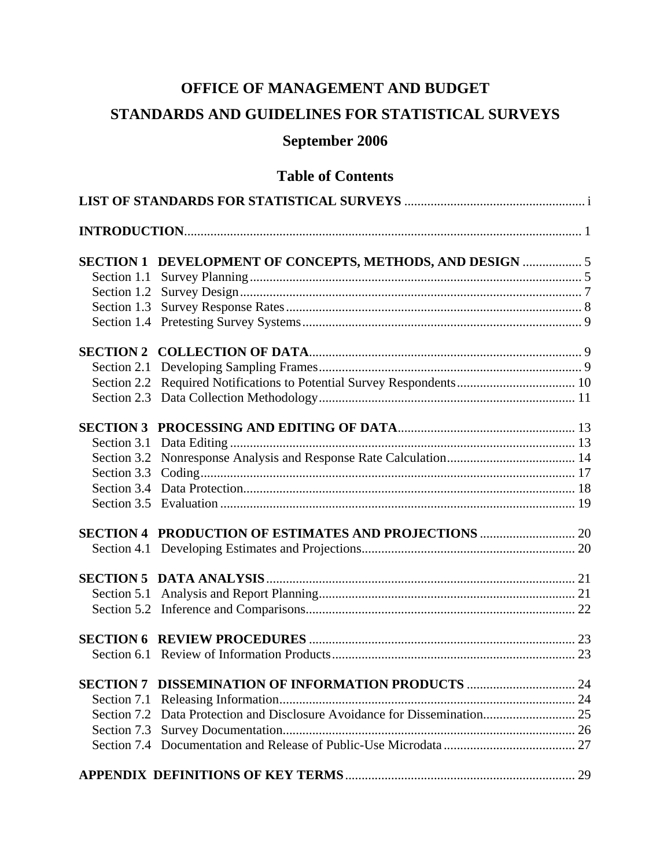# **OFFICE OF MANAGEMENT AND BUDGET**

# **STANDARDS AND GUIDELINES FOR STATISTICAL SURVEYS**

# **September 2006**

# **Table of Contents**

|  | SECTION 1 DEVELOPMENT OF CONCEPTS, METHODS, AND DESIGN  5             |  |
|--|-----------------------------------------------------------------------|--|
|  |                                                                       |  |
|  |                                                                       |  |
|  |                                                                       |  |
|  |                                                                       |  |
|  |                                                                       |  |
|  |                                                                       |  |
|  | Section 2.2 Required Notifications to Potential Survey Respondents 10 |  |
|  |                                                                       |  |
|  |                                                                       |  |
|  |                                                                       |  |
|  |                                                                       |  |
|  |                                                                       |  |
|  |                                                                       |  |
|  |                                                                       |  |
|  |                                                                       |  |
|  |                                                                       |  |
|  |                                                                       |  |
|  |                                                                       |  |
|  |                                                                       |  |
|  |                                                                       |  |
|  |                                                                       |  |
|  | SECTION 7 DISSEMINATION OF INFORMATION PRODUCTS  24                   |  |
|  |                                                                       |  |
|  |                                                                       |  |
|  |                                                                       |  |
|  |                                                                       |  |
|  |                                                                       |  |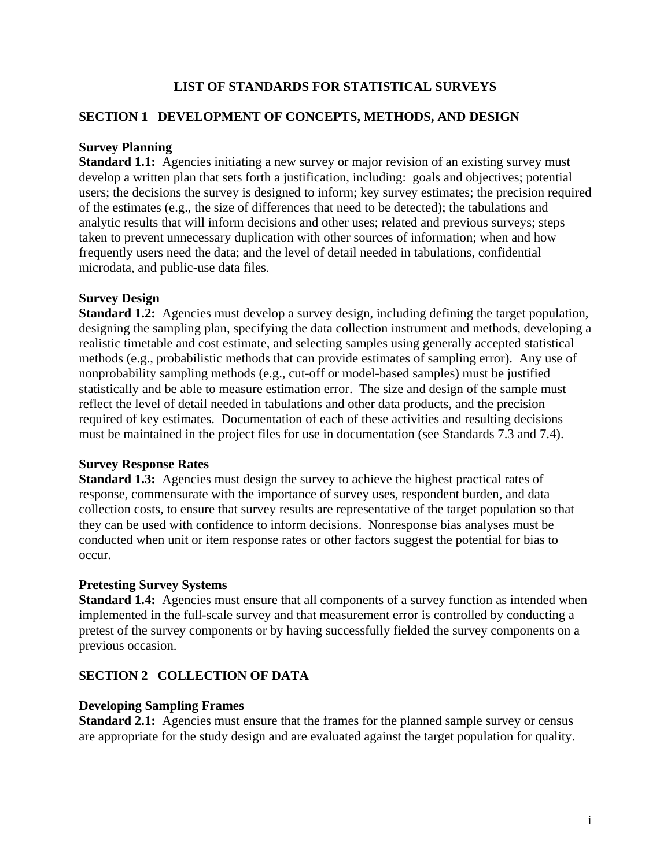# **LIST OF STANDARDS FOR STATISTICAL SURVEYS**

# <span id="page-1-0"></span>**SECTION 1 DEVELOPMENT OF CONCEPTS, METHODS, AND DESIGN**

## **Survey Planning**

**Standard 1.1:** Agencies initiating a new survey or major revision of an existing survey must develop a written plan that sets forth a justification, including: goals and objectives; potential users; the decisions the survey is designed to inform; key survey estimates; the precision required of the estimates (e.g., the size of differences that need to be detected); the tabulations and analytic results that will inform decisions and other uses; related and previous surveys; steps taken to prevent unnecessary duplication with other sources of information; when and how frequently users need the data; and the level of detail needed in tabulations, confidential microdata, and public-use data files.

# **Survey Design**

**Standard 1.2:** Agencies must develop a survey design, including defining the target population, designing the sampling plan, specifying the data collection instrument and methods, developing a realistic timetable and cost estimate, and selecting samples using generally accepted statistical methods (e.g., probabilistic methods that can provide estimates of sampling error). Any use of nonprobability sampling methods (e.g., cut-off or model-based samples) must be justified statistically and be able to measure estimation error. The size and design of the sample must reflect the level of detail needed in tabulations and other data products, and the precision required of key estimates. Documentation of each of these activities and resulting decisions must be maintained in the project files for use in documentation (see Standards 7.3 and 7.4).

#### **Survey Response Rates**

**Standard 1.3:** Agencies must design the survey to achieve the highest practical rates of response, commensurate with the importance of survey uses, respondent burden, and data collection costs, to ensure that survey results are representative of the [target population](http://nces.ed.gov/statprog/2002/glossary.asp) so that they can be used with confidence to inform decisions. Nonresponse bias analyses must be conducted when unit or item response rates or other factors suggest the potential for bias to occur.

#### **Pretesting Survey Systems**

**Standard 1.4:** Agencies must ensure that all components of a survey function as intended when implemented in the full-scale survey and that measurement error is controlled by conducting a pretest of the survey components or by having successfully fielded the survey components on a previous occasion.

# **SECTION 2 COLLECTION OF DATA**

#### **Developing Sampling Frames**

**Standard 2.1:** Agencies must ensure that the frames for the planned sample survey or census are appropriate for the study design and are evaluated against the target population for quality.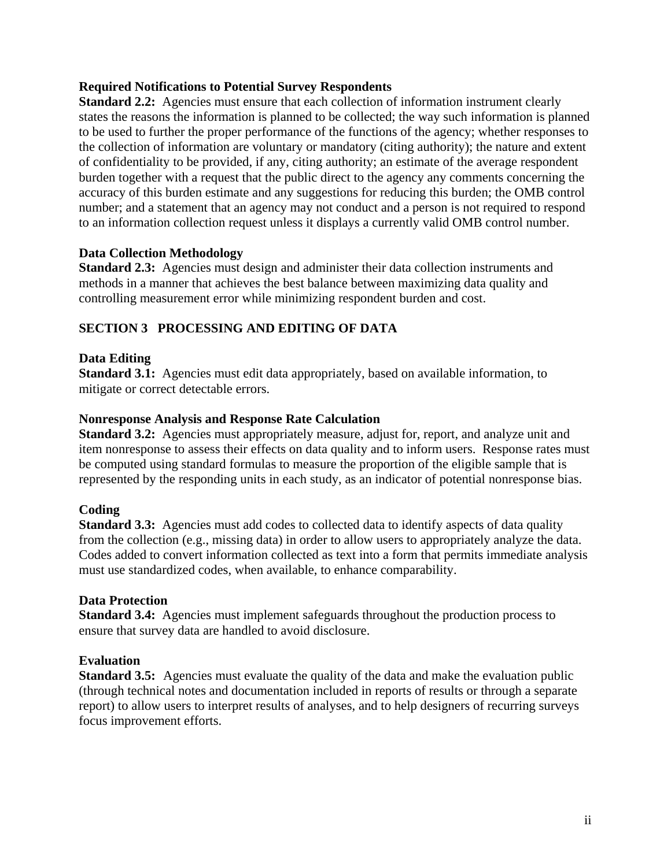## **Required Notifications to Potential Survey Respondents**

**Standard 2.2:** Agencies must ensure that each collection of information instrument clearly states the reasons the information is planned to be collected; the way such information is planned to be used to further the proper performance of the functions of the agency; whether responses to the collection of information are voluntary or mandatory (citing authority); the nature and extent of confidentiality to be provided, if any, citing authority; an estimate of the average respondent burden together with a request that the public direct to the agency any comments concerning the accuracy of this burden estimate and any suggestions for reducing this burden; the OMB control number; and a statement that an agency may not conduct and a person is not required to respond to an information collection request unless it displays a currently valid OMB control number.

#### **Data Collection Methodology**

**Standard 2.3:** Agencies must design and administer their data collection instruments and methods in a manner that achieves the best balance between maximizing data quality and controlling measurement error while minimizing respondent burden and cost.

# **SECTION 3 PROCESSING AND EDITING OF DATA**

#### **Data Editing**

**Standard 3.1:** Agencies must edit data appropriately, based on available information, to mitigate or correct detectable errors.

#### **Nonresponse Analysis and Response Rate Calculation**

**Standard 3.2:** Agencies must appropriately measure, adjust for, report, and analyze unit and item nonresponse to assess their effects on data quality and to inform users. Response rates must be computed using standard formulas to measure the proportion of the eligible sample that is represented by the responding units in each study, as an indicator of potential nonresponse bias.

#### **Coding**

**Standard 3.3:** Agencies must add codes to collected data to identify aspects of data quality from the collection (e.g., missing data) in order to allow users to appropriately analyze the data. Codes added to convert information collected as text into a form that permits immediate analysis must use standardized codes, when available, to enhance comparability.

#### **Data Protection**

**Standard 3.4:** Agencies must implement safeguards throughout the production process to ensure that survey data are handled to avoid disclosure.

# **Evaluation**

**Standard 3.5:** Agencies must evaluate the quality of the data and make the evaluation public (through technical notes and documentation included in reports of results or through a separate report) to allow users to interpret results of analyses, and to help designers of recurring surveys focus improvement efforts.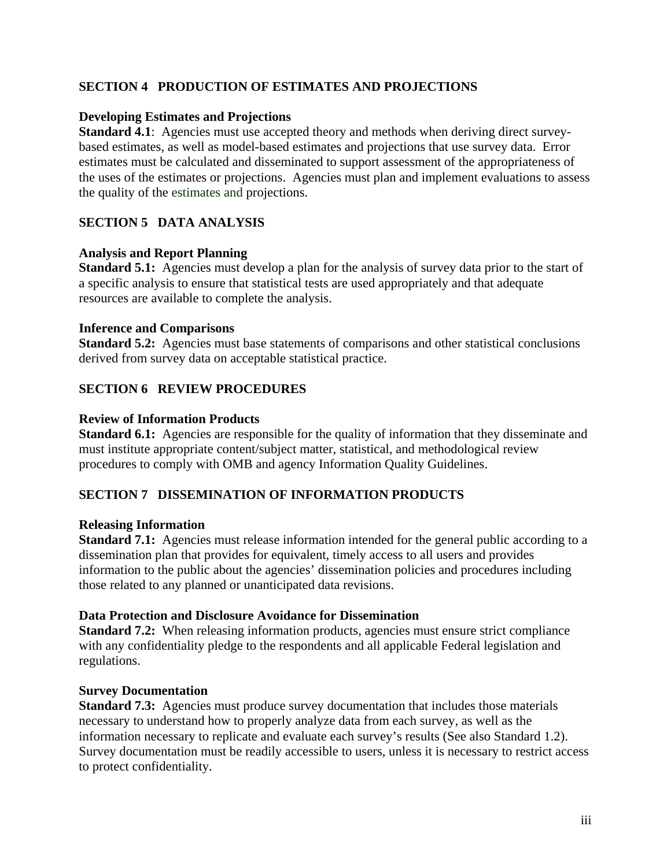# **SECTION 4 PRODUCTION OF ESTIMATES AND PROJECTIONS**

#### **Developing Estimates and Projections**

**Standard 4.1**: Agencies must use accepted theory and methods when deriving direct surveybased estimates, as well as model-based estimates and projections that use survey data. Error estimates must be calculated and disseminated to support assessment of the appropriateness of the uses of the estimates or projections. Agencies must plan and implement evaluations to assess the quality of the estimates and projections.

# **SECTION 5 DATA ANALYSIS**

#### **Analysis and Report Planning**

Standard 5.1: Agencies must develop a plan for the analysis of survey data prior to the start of a specific analysis to ensure that statistical tests are used appropriately and that adequate resources are available to complete the analysis.

#### **Inference and Comparisons**

**Standard 5.2:** Agencies must base statements of comparisons and other statistical conclusions derived from survey data on acceptable statistical practice.

# **SECTION 6 REVIEW PROCEDURES**

#### **Review of Information Products**

**Standard 6.1:** Agencies are responsible for the quality of information that they disseminate and must institute appropriate content/subject matter, statistical, and methodological review procedures to comply with OMB and agency Information Quality Guidelines.

# **SECTION 7 DISSEMINATION OF INFORMATION PRODUCTS**

#### **Releasing Information**

**Standard 7.1:** Agencies must release information intended for the general public according to a dissemination plan that provides for equivalent, timely access to all users and provides information to the public about the agencies' dissemination policies and procedures including those related to any planned or unanticipated data revisions.

#### **Data Protection and Disclosure Avoidance for Dissemination**

**Standard 7.2:** When releasing information products, agencies must ensure strict compliance with any confidentiality pledge to the respondents and all applicable Federal legislation and regulations.

#### **Survey Documentation**

**Standard 7.3:** Agencies must produce survey documentation that includes those materials necessary to understand how to properly analyze data from each survey, as well as the information necessary to replicate and evaluate each survey's results (See also Standard 1.2). Survey documentation must be readily accessible to users, unless it is necessary to restrict access to protect confidentiality.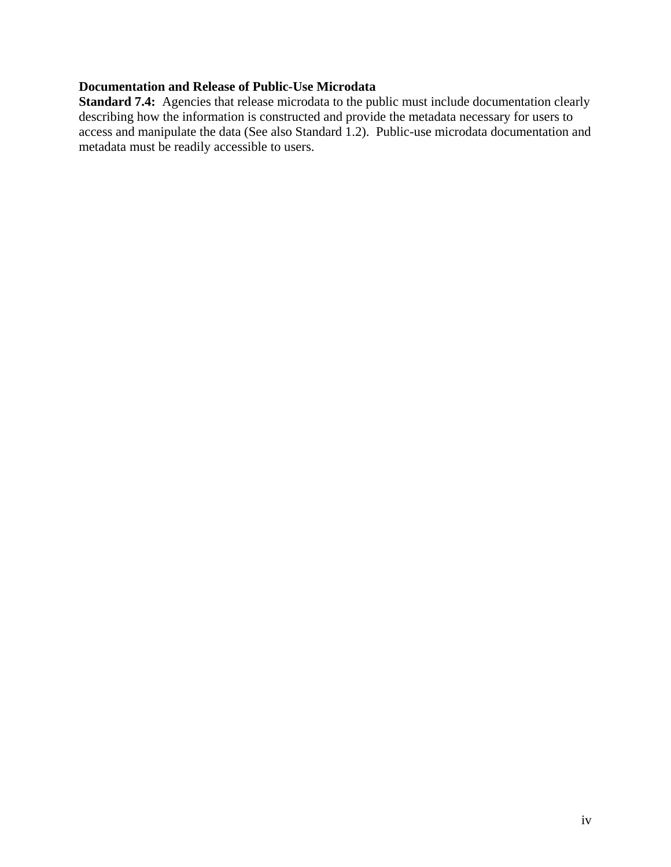# **Documentation and Release of Public-Use Microdata**

**Standard 7.4:** Agencies that release microdata to the public must include documentation clearly describing how the information is constructed and provide the metadata necessary for users to access and manipulate the data (See also Standard 1.2). Public-use microdata documentation and metadata must be readily accessible to users.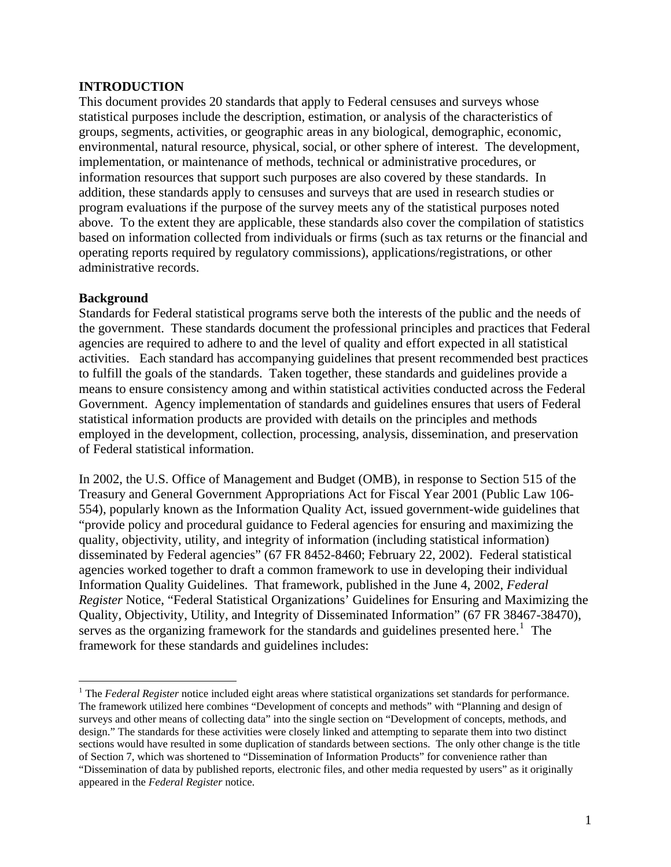## <span id="page-5-0"></span>**INTRODUCTION**

This document provides 20 standards that apply to Federal censuses and surveys whose statistical purposes include the description, estimation, or analysis of the characteristics of groups, segments, activities, or geographic areas in any biological, demographic, economic, environmental, natural resource, physical, social, or other sphere of interest. The development, implementation, or maintenance of methods, technical or administrative procedures, or information resources that support such purposes are also covered by these standards. In addition, these standards apply to censuses and surveys that are used in research studies or program evaluations if the purpose of the survey meets any of the statistical purposes noted above. To the extent they are applicable, these standards also cover the compilation of statistics based on information collected from individuals or firms (such as tax returns or the financial and operating reports required by regulatory commissions), applications/registrations, or other administrative records.

#### **Background**

 $\overline{a}$ 

Standards for Federal statistical programs serve both the interests of the public and the needs of the government. These standards document the professional principles and practices that Federal agencies are required to adhere to and the level of quality and effort expected in all statistical activities. Each standard has accompanying guidelines that present recommended best practices to fulfill the goals of the standards. Taken together, these standards and guidelines provide a means to ensure consistency among and within statistical activities conducted across the Federal Government. Agency implementation of standards and guidelines ensures that users of Federal statistical information products are provided with details on the principles and methods employed in the development, collection, processing, analysis, dissemination, and preservation of Federal statistical information.

In 2002, the U.S. Office of Management and Budget (OMB), in response to Section 515 of the Treasury and General Government Appropriations Act for Fiscal Year 2001 (Public Law 106- 554), popularly known as the Information Quality Act, issued government-wide guidelines that "provide policy and procedural guidance to Federal agencies for ensuring and maximizing the quality, objectivity, utility, and integrity of information (including statistical information) disseminated by Federal agencies" (67 FR 8452-8460; February 22, 2002). Federal statistical agencies worked together to draft a common framework to use in developing their individual Information Quality Guidelines. That framework, published in the June 4, 2002, *Federal Register* Notice, "Federal Statistical Organizations' Guidelines for Ensuring and Maximizing the Quality, Objectivity, Utility, and Integrity of Disseminated Information" (67 FR 38467-38470), serves as the organizing framework for the standards and guidelines presented here.<sup>[1](#page-5-1)</sup> The framework for these standards and guidelines includes:

<span id="page-5-1"></span><sup>&</sup>lt;sup>1</sup> The *Federal Register* notice included eight areas where statistical organizations set standards for performance. The framework utilized here combines "Development of concepts and methods" with "Planning and design of surveys and other means of collecting data" into the single section on "Development of concepts, methods, and design." The standards for these activities were closely linked and attempting to separate them into two distinct sections would have resulted in some duplication of standards between sections. The only other change is the title of Section 7, which was shortened to "Dissemination of Information Products" for convenience rather than "Dissemination of data by published reports, electronic files, and other media requested by users" as it originally appeared in the *Federal Register* notice.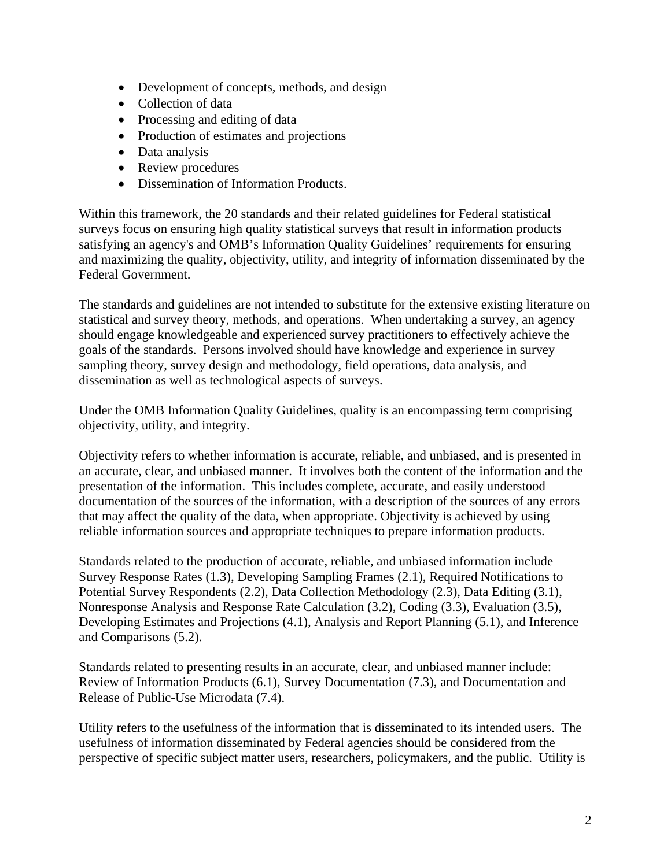- Development of concepts, methods, and design
- Collection of data
- Processing and editing of data
- Production of estimates and projections
- Data analysis
- Review procedures
- Dissemination of Information Products.

Within this framework, the 20 standards and their related guidelines for Federal statistical surveys focus on ensuring high quality statistical surveys that result in information products satisfying an agency's and OMB's Information Quality Guidelines' requirements for ensuring and maximizing the quality, objectivity, utility, and integrity of information disseminated by the Federal Government.

The standards and guidelines are not intended to substitute for the extensive existing literature on statistical and survey theory, methods, and operations. When undertaking a survey, an agency should engage knowledgeable and experienced survey practitioners to effectively achieve the goals of the standards. Persons involved should have knowledge and experience in survey sampling theory, survey design and methodology, field operations, data analysis, and dissemination as well as technological aspects of surveys.

Under the OMB Information Quality Guidelines, quality is an encompassing term comprising objectivity, utility, and integrity.

Objectivity refers to whether information is accurate, reliable, and unbiased, and is presented in an accurate, clear, and unbiased manner. It involves both the content of the information and the presentation of the information. This includes complete, accurate, and easily understood documentation of the sources of the information, with a description of the sources of any errors that may affect the quality of the data, when appropriate. Objectivity is achieved by using reliable information sources and appropriate techniques to prepare information products.

Standards related to the production of accurate, reliable, and unbiased information include Survey Response Rates (1.3), Developing Sampling Frames (2.1), Required Notifications to Potential Survey Respondents (2.2), Data Collection Methodology (2.3), Data Editing (3.1), Nonresponse Analysis and Response Rate Calculation (3.2), Coding (3.3), Evaluation (3.5), Developing Estimates and Projections (4.1), Analysis and Report Planning (5.1), and Inference and Comparisons (5.2).

Standards related to presenting results in an accurate, clear, and unbiased manner include: Review of Information Products (6.1), Survey Documentation (7.3), and Documentation and Release of Public-Use Microdata (7.4).

Utility refers to the usefulness of the information that is disseminated to its intended users. The usefulness of information disseminated by Federal agencies should be considered from the perspective of specific subject matter users, researchers, policymakers, and the public. Utility is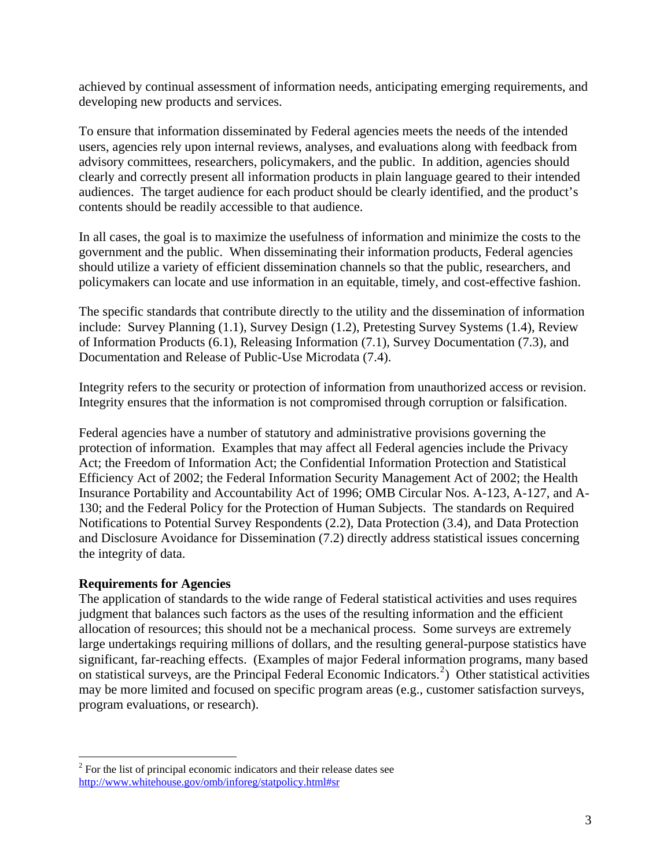achieved by continual assessment of information needs, anticipating emerging requirements, and developing new products and services.

To ensure that information disseminated by Federal agencies meets the needs of the intended users, agencies rely upon internal reviews, analyses, and evaluations along with feedback from advisory committees, researchers, policymakers, and the public. In addition, agencies should clearly and correctly present all information products in plain language geared to their intended audiences. The target audience for each product should be clearly identified, and the product's contents should be readily accessible to that audience.

In all cases, the goal is to maximize the usefulness of information and minimize the costs to the government and the public. When disseminating their information products, Federal agencies should utilize a variety of efficient dissemination channels so that the public, researchers, and policymakers can locate and use information in an equitable, timely, and cost-effective fashion.

The specific standards that contribute directly to the utility and the dissemination of information include: Survey Planning (1.1), Survey Design (1.2), Pretesting Survey Systems (1.4), Review of Information Products (6.1), Releasing Information (7.1), Survey Documentation (7.3), and Documentation and Release of Public-Use Microdata (7.4).

Integrity refers to the security or protection of information from unauthorized access or revision. Integrity ensures that the information is not compromised through corruption or falsification.

Federal agencies have a number of statutory and administrative provisions governing the protection of information. Examples that may affect all Federal agencies include the Privacy Act; the Freedom of Information Act; the Confidential Information Protection and Statistical Efficiency Act of 2002; the Federal Information Security Management Act of 2002; the Health Insurance Portability and Accountability Act of 1996; OMB Circular Nos. A-123, A-127, and A-130; and the Federal Policy for the Protection of Human Subjects. The standards on Required Notifications to Potential Survey Respondents (2.2), Data Protection (3.4), and Data Protection and Disclosure Avoidance for Dissemination (7.2) directly address statistical issues concerning the integrity of data.

# **Requirements for Agencies**

 $\overline{a}$ 

The application of standards to the wide range of Federal statistical activities and uses requires judgment that balances such factors as the uses of the resulting information and the efficient allocation of resources; this should not be a mechanical process. Some surveys are extremely large undertakings requiring millions of dollars, and the resulting general-purpose statistics have significant, far-reaching effects. (Examples of major Federal information programs, many based on statistical surveys, are the Principal Federal Economic Indicators.<sup>[2](#page-7-0)</sup>) Other statistical activities may be more limited and focused on specific program areas (e.g., customer satisfaction surveys, program evaluations, or research).

<span id="page-7-0"></span> $2^2$  For the list of principal economic indicators and their release dates see <http://www.whitehouse.gov/omb/inforeg/statpolicy.html#sr>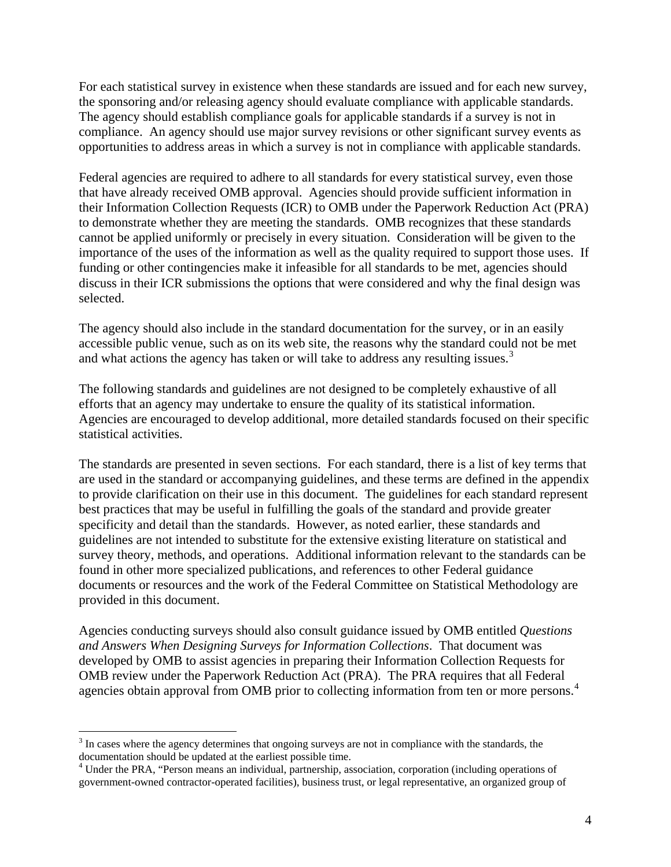For each statistical survey in existence when these standards are issued and for each new survey, the sponsoring and/or releasing agency should evaluate compliance with applicable standards. The agency should establish compliance goals for applicable standards if a survey is not in compliance. An agency should use major survey revisions or other significant survey events as opportunities to address areas in which a survey is not in compliance with applicable standards.

Federal agencies are required to adhere to all standards for every statistical survey, even those that have already received OMB approval. Agencies should provide sufficient information in their Information Collection Requests (ICR) to OMB under the Paperwork Reduction Act (PRA) to demonstrate whether they are meeting the standards. OMB recognizes that these standards cannot be applied uniformly or precisely in every situation. Consideration will be given to the importance of the uses of the information as well as the quality required to support those uses. If funding or other contingencies make it infeasible for all standards to be met, agencies should discuss in their ICR submissions the options that were considered and why the final design was selected.

The agency should also include in the standard documentation for the survey, or in an easily accessible public venue, such as on its web site, the reasons why the standard could not be met and what actions the agency has taken or will take to address any resulting issues.<sup>[3](#page-8-0)</sup>

The following standards and guidelines are not designed to be completely exhaustive of all efforts that an agency may undertake to ensure the quality of its statistical information. Agencies are encouraged to develop additional, more detailed standards focused on their specific statistical activities.

The standards are presented in seven sections. For each standard, there is a list of key terms that are used in the standard or accompanying guidelines, and these terms are defined in the appendix to provide clarification on their use in this document. The guidelines for each standard represent best practices that may be useful in fulfilling the goals of the standard and provide greater specificity and detail than the standards. However, as noted earlier, these standards and guidelines are not intended to substitute for the extensive existing literature on statistical and survey theory, methods, and operations. Additional information relevant to the standards can be found in other more specialized publications, and references to other Federal guidance documents or resources and the work of the Federal Committee on Statistical Methodology are provided in this document.

Agencies conducting surveys should also consult guidance issued by OMB entitled *Questions and Answers When Designing Surveys for Information Collections*. That document was developed by OMB to assist agencies in preparing their Information Collection Requests for OMB review under the Paperwork Reduction Act (PRA). The PRA requires that all Federal agencies obtain approval from OMB prior to collecting information from ten or more persons.<sup>[4](#page-8-1)</sup>

 $\overline{a}$ 

<span id="page-8-0"></span> $3 \text{ In cases where the agency determines that ongoing surveys are not in compliance with the standards, the$ documentation should be updated at the earliest possible time.

<span id="page-8-1"></span><sup>&</sup>lt;sup>4</sup> Under the PRA, "Person means an individual, partnership, association, corporation (including operations of government-owned contractor-operated facilities), business trust, or legal representative, an organized group of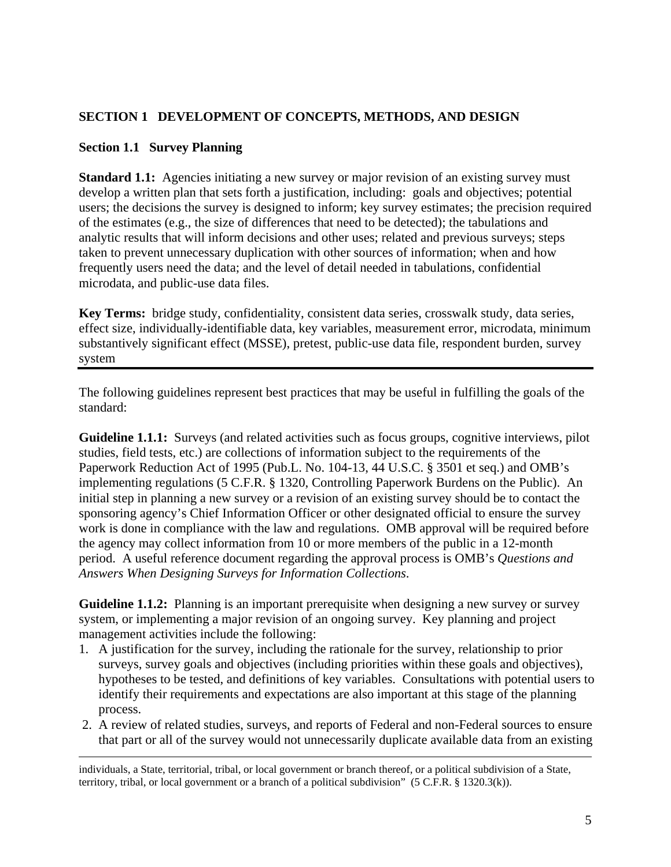# <span id="page-9-0"></span>**SECTION 1 DEVELOPMENT OF CONCEPTS, METHODS, AND DESIGN**

## **Section 1.1 Survey Planning**

**Standard 1.1:** Agencies initiating a new survey or major revision of an existing survey must develop a written plan that sets forth a justification, including: goals and objectives; potential users; the decisions the survey is designed to inform; key survey estimates; the precision required of the estimates (e.g., the size of differences that need to be detected); the tabulations and analytic results that will inform decisions and other uses; related and previous surveys; steps taken to prevent unnecessary duplication with other sources of information; when and how frequently users need the data; and the level of detail needed in tabulations, confidential microdata, and public-use data files.

**Key Terms:** bridge study, confidentiality, consistent data series, crosswalk study, data series, effect size, individually-identifiable data, key variables, measurement error, microdata, minimum substantively significant effect (MSSE), pretest, public-use data file, respondent burden, survey system

The following guidelines represent best practices that may be useful in fulfilling the goals of the standard:

Guideline 1.1.1: Surveys (and related activities such as focus groups, cognitive interviews, pilot studies, field tests, etc.) are collections of information subject to the requirements of the Paperwork Reduction Act of 1995 (Pub.L. No. 104-13, 44 U.S.C. § 3501 et seq.) and OMB's implementing regulations (5 C.F.R. § 1320, Controlling Paperwork Burdens on the Public). An initial step in planning a new survey or a revision of an existing survey should be to contact the sponsoring agency's Chief Information Officer or other designated official to ensure the survey work is done in compliance with the law and regulations. OMB approval will be required before the agency may collect information from 10 or more members of the public in a 12-month period. A useful reference document regarding the approval process is OMB's *Questions and Answers When Designing Surveys for Information Collections*.

**Guideline 1.1.2:** Planning is an important prerequisite when designing a new survey or survey system, or implementing a major revision of an ongoing survey. Key planning and project management activities include the following:

- 1. A justification for the survey, including the rationale for the survey, relationship to prior surveys, survey goals and objectives (including priorities within these goals and objectives), hypotheses to be tested, and definitions of key variables. Consultations with potential users to identify their requirements and expectations are also important at this stage of the planning process.
- 2. A review of related studies, surveys, and reports of Federal and non-Federal sources to ensure that part or all of the survey would not unnecessarily duplicate available data from an existing

 individuals, a State, territorial, tribal, or local government or branch thereof, or a political subdivision of a State, territory, tribal, or local government or a branch of a political subdivision" (5 C.F.R. § 1320.3(k)).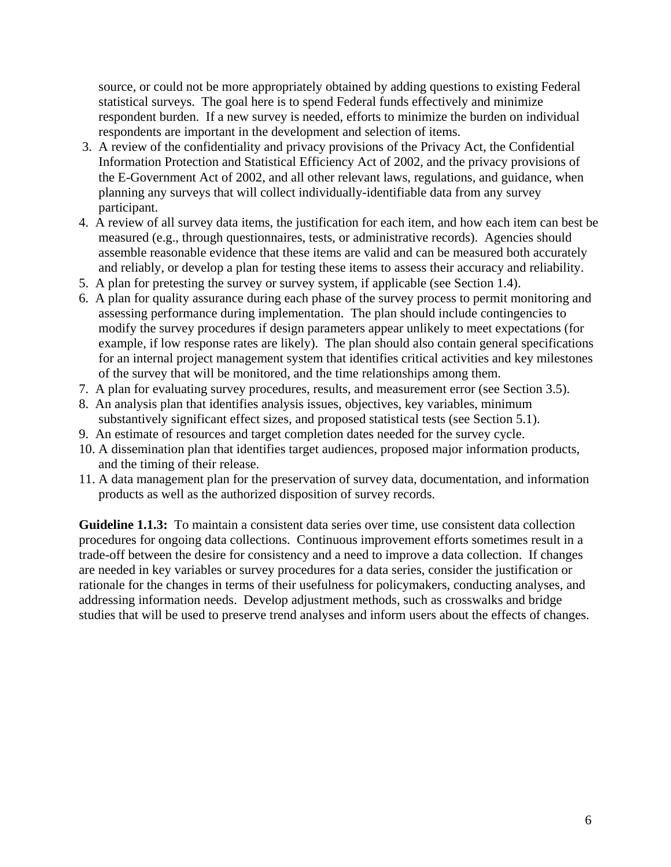source, or could not be more appropriately obtained by adding questions to existing Federal statistical surveys. The goal here is to spend Federal funds effectively and minimize respondent burden. If a new survey is needed, efforts to minimize the burden on individual respondents are important in the development and selection of items.

- 3. A review of the confidentiality and privacy provisions of the Privacy Act, the Confidential Information Protection and Statistical Efficiency Act of 2002, and the privacy provisions of the E-Government Act of 2002, and all other relevant laws, regulations, and guidance, when planning any surveys that will collect individually-identifiable data from any survey participant.
- 4. A review of all survey data items, the justification for each item, and how each item can best be measured (e.g., through questionnaires, tests, or administrative records). Agencies should assemble reasonable evidence that these items are valid and can be measured both accurately and reliably, or develop a plan for testing these items to assess their accuracy and reliability.
- 5. A plan for pretesting the survey or survey system, if applicable (see Section 1.4).
- 6. A plan for quality assurance during each phase of the survey process to permit monitoring and assessing performance during implementation. The plan should include contingencies to modify the survey procedures if design parameters appear unlikely to meet expectations (for example, if low response rates are likely). The plan should also contain general specifications for an internal project management system that identifies critical activities and key milestones of the survey that will be monitored, and the time relationships among them.
- 7. A plan for evaluating survey procedures, results, and measurement error (see Section 3.5).
- 8. An analysis plan that identifies analysis issues, objectives, key variables, minimum substantively significant effect sizes, and proposed statistical tests (see Section 5.1).
- 9. An estimate of resources and target completion dates needed for the survey cycle.
- 10. A dissemination plan that identifies target audiences, proposed major information products, and the timing of their release.
- 11. A data management plan for the preservation of survey data, documentation, and information products as well as the authorized disposition of survey records.

**Guideline 1.1.3:** To maintain a consistent data series over time, use consistent data collection procedures for ongoing data collections. Continuous improvement efforts sometimes result in a trade-off between the desire for consistency and a need to improve a data collection. If changes are needed in [key variables](http://nces.ed.gov/statprog/2002/glossary.asp) or survey procedures for a data series, consider the justification or rationale for the changes in terms of their usefulness for policymakers, conducting analyses, and addressing information needs. Develop adjustment methods, such as crosswalks and bridge studies that will be used to preserve trend analyses and inform users about the effects of changes.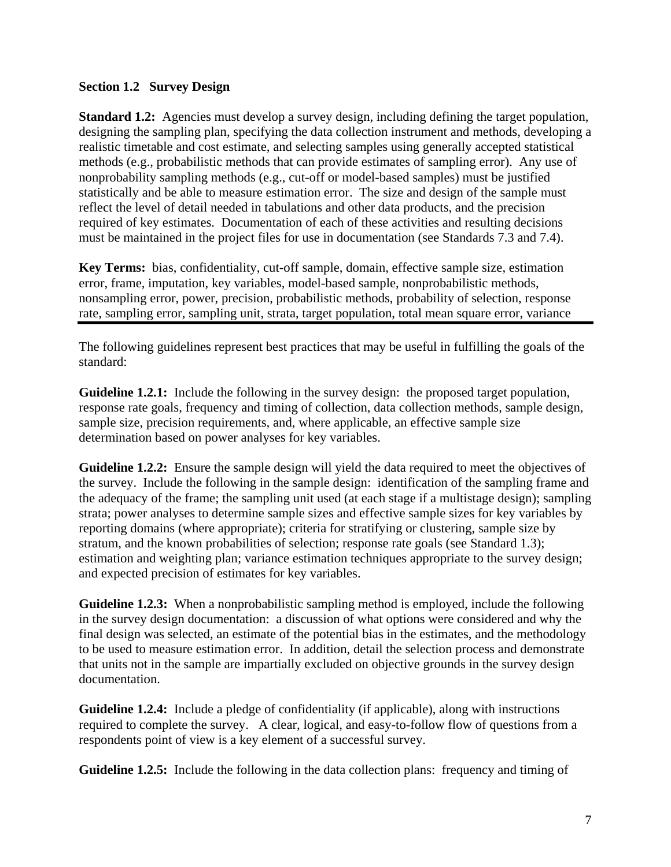## <span id="page-11-0"></span>**Section 1.2 Survey Design**

**Standard 1.2:** Agencies must develop a survey design, including defining the target population, designing the sampling plan, specifying the data collection instrument and methods, developing a realistic timetable and cost estimate, and selecting samples using generally accepted statistical methods (e.g., probabilistic methods that can provide estimates of sampling error). Any use of nonprobability sampling methods (e.g., cut-off or model-based samples) must be justified statistically and be able to measure estimation error. The size and design of the sample must reflect the level of detail needed in tabulations and other data products, and the precision required of key estimates. Documentation of each of these activities and resulting decisions must be maintained in the project files for use in documentation (see Standards 7.3 and 7.4).

**Key Terms:** bias, confidentiality, cut-off sample, domain, effective sample size, estimation error, frame, imputation, key variables, model-based sample, nonprobabilistic methods, nonsampling error, power, precision, probabilistic methods, probability of selection, response rate, sampling error, sampling unit, strata, target population, total mean square error, variance

The following guidelines represent best practices that may be useful in fulfilling the goals of the standard:

**Guideline 1.2.1:** Include the following in the survey design: the proposed target population, response rate goals, frequency and timing of collection, data collection methods, sample design, sample size, precision requirements, and, where applicable, an effective sample size determination based on power analyses for key variables.

**Guideline 1.2.2:** Ensure the sample design will yield the data required to meet the objectives of the survey. Include the following in the sample design: identification of the sampling frame and the adequacy of the frame; the sampling unit used (at each stage if a multistage design); sampling strata; power analyses to determine sample sizes and effective sample sizes for key variables by reporting domains (where appropriate); criteria for stratifying or clustering, sample size by stratum, and the known probabilities of selection; response rate goals (see Standard 1.3); estimation and weighting plan; variance estimation techniques appropriate to the survey design; and expected precision of estimates for key variables.

**Guideline 1.2.3:** When a nonprobabilistic sampling method is employed, include the following in the survey design documentation: a discussion of what options were considered and why the final design was selected, an estimate of the potential bias in the estimates, and the methodology to be used to measure estimation error. In addition, detail the selection process and demonstrate that units not in the sample are impartially excluded on objective grounds in the survey design documentation.

**Guideline 1.2.4:** Include a pledge of confidentiality (if applicable), along with instructions required to complete the survey. A clear, logical, and easy-to-follow flow of questions from a respondents point of view is a key element of a successful survey.

**Guideline 1.2.5:** Include the following in the data collection plans: frequency and timing of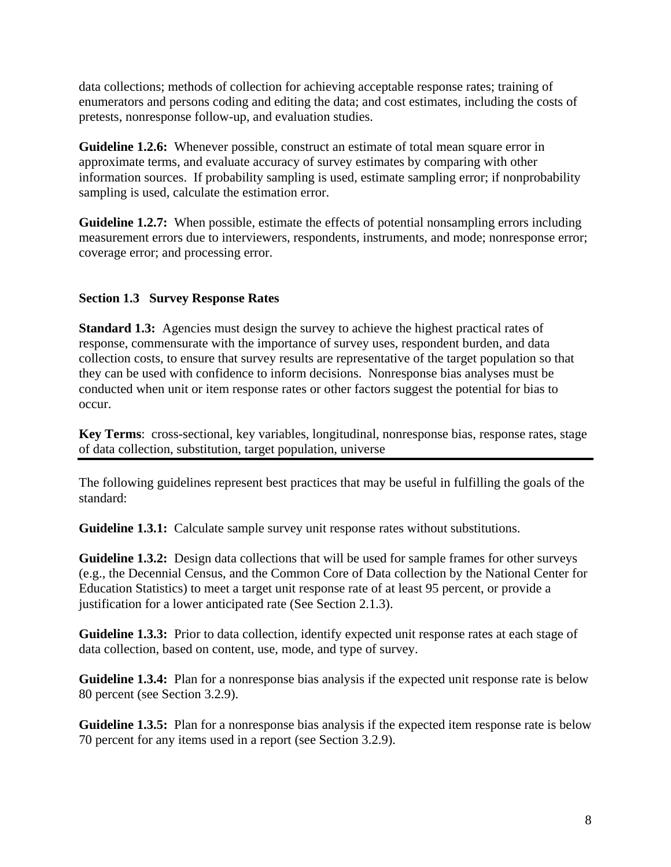<span id="page-12-0"></span>data collections; methods of collection for achieving acceptable response rates; training of enumerators and persons coding and editing the data; and cost estimates, including the costs of pretests, nonresponse follow-up, and evaluation studies.

**Guideline 1.2.6:** Whenever possible, construct an estimate of total mean square error in approximate terms, and evaluate accuracy of survey estimates by comparing with other information sources. If probability sampling is used, estimate sampling error; if nonprobability sampling is used, calculate the estimation error.

**Guideline 1.2.7:** When possible, estimate the effects of potential nonsampling errors including measurement errors due to interviewers, respondents, instruments, and mode; nonresponse error; coverage error; and processing error.

# **Section 1.3 Survey Response Rates**

**Standard 1.3:** Agencies must design the survey to achieve the highest practical rates of response, commensurate with the importance of survey uses, respondent burden, and data collection costs, to ensure that survey results are representative of the [target population](http://nces.ed.gov/statprog/2002/glossary.asp) so that they can be used with confidence to inform decisions. Nonresponse bias analyses must be conducted when unit or item response rates or other factors suggest the potential for bias to occur.

**Key Terms**: [cross-sectional,](http://nces.ed.gov/statprog/2002/glossary.asp) [key variables](http://nces.ed.gov/statprog/2002/glossary.asp), [longitudinal](http://nces.ed.gov/statprog/2002/glossary.asp), [nonresponse bias,](http://nces.ed.gov/statprog/2002/glossary.asp) [response rates](http://nces.ed.gov/statprog/2002/glossary.asp), [stage](http://nces.ed.gov/statprog/2002/glossary.asp)  [of data collection](http://nces.ed.gov/statprog/2002/glossary.asp), [substitution](http://nces.ed.gov/statprog/2002/glossary.asp), [target population,](http://nces.ed.gov/statprog/2002/glossary.asp) [universe](http://nces.ed.gov/statprog/2002/glossary.asp) 

The following guidelines represent best practices that may be useful in fulfilling the goals of the standard:

**Guideline 1.3.1:** Calculate sample survey unit response rates without [substitutions.](http://nces.ed.gov/statprog/2002/glossary.asp)

**Guideline 1.3.2:** Design data collections that will be used for sample frames for other surveys (e.g., the Decennial Census, and the Common Core of Data collection by the National Center for Education Statistics) to meet a target unit response rate of at least 95 percent, or provide a justification for a lower anticipated rate (See Section 2.1.3).

**Guideline 1.3.3:** Prior to data collection, identify expected unit response rates at each stage of data collection, based on content, use, mode, and type of survey.

**Guideline 1.3.4:** Plan for a nonresponse bias analysis if the expected unit response rate is below 80 percent (see Section 3.2.9).

**Guideline 1.3.5:** Plan for a nonresponse bias analysis if the expected item response rate is below 70 percent for any items used in a report (see Section 3.2.9).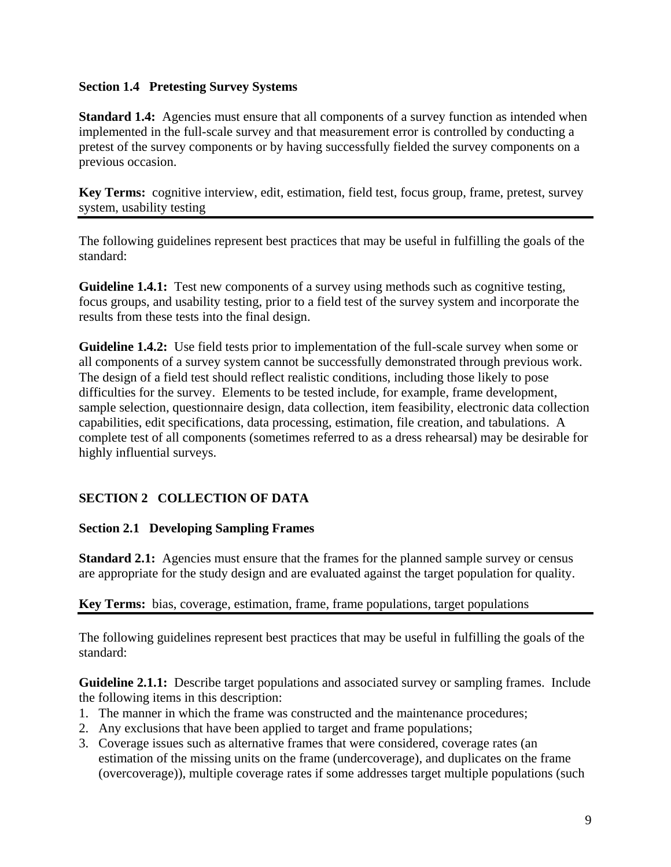## <span id="page-13-0"></span>**Section 1.4 Pretesting Survey Systems**

**Standard 1.4:** Agencies must ensure that all components of a survey function as intended when implemented in the full-scale survey and that measurement error is controlled by conducting a pretest of the survey components or by having successfully fielded the survey components on a previous occasion.

**Key Terms:** cognitive interview, edit, estimation, field test, focus group, frame, pretest, survey system, usability testing

The following guidelines represent best practices that may be useful in fulfilling the goals of the standard:

**Guideline 1.4.1:** Test new components of a survey using methods such as cognitive testing, focus groups, and usability testing, prior to a field test of the survey system and incorporate the results from these tests into the final design.

**Guideline 1.4.2:** Use field tests prior to implementation of the full-scale survey when some or all components of a survey system cannot be successfully demonstrated through previous work. The design of a field test should reflect realistic conditions, including those likely to pose difficulties for the survey. Elements to be tested include, for example, frame development, sample selection, questionnaire design, data collection, item feasibility, electronic data collection capabilities, edit specifications, data processing, estimation, file creation, and tabulations. A complete test of all components (sometimes referred to as a dress rehearsal) may be desirable for highly influential surveys.

# **SECTION 2 COLLECTION OF DATA**

# **Section 2.1 Developing Sampling Frames**

**Standard 2.1:** Agencies must ensure that the frames for the planned sample survey or census are appropriate for the study design and are evaluated against the target population for quality.

# **Key Terms:** bias, coverage, estimation, frame, frame populations, target populations

The following guidelines represent best practices that may be useful in fulfilling the goals of the standard:

**Guideline 2.1.1:** Describe target populations and associated survey or sampling frames. Include the following items in this description:

- 1. The manner in which the frame was constructed and the maintenance procedures;
- 2. Any exclusions that have been applied to target and frame populations;
- 3. Coverage issues such as alternative frames that were considered, coverage rates (an estimation of the missing units on the frame (undercoverage), and duplicates on the frame (overcoverage)), multiple coverage rates if some addresses target multiple populations (such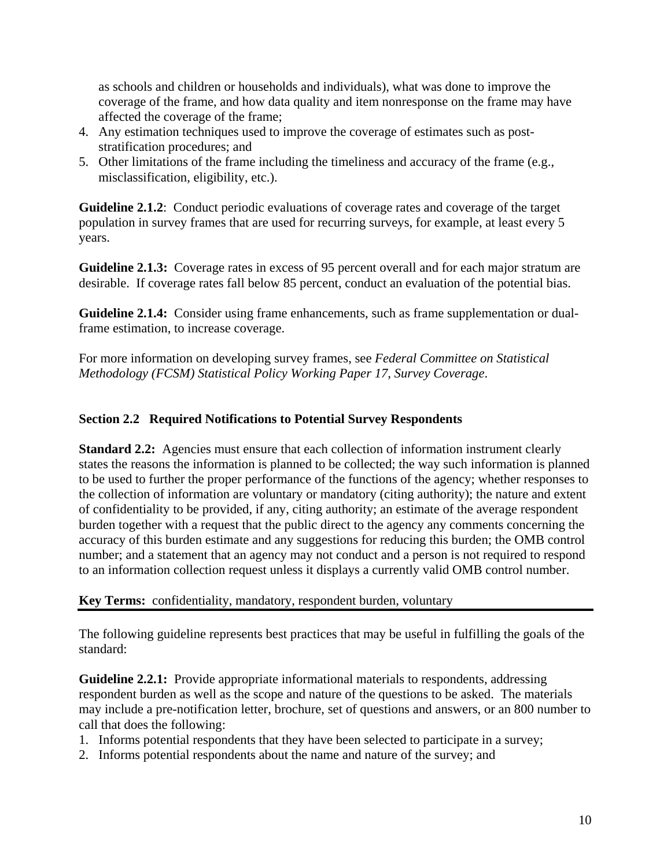<span id="page-14-0"></span>as schools and children or households and individuals), what was done to improve the coverage of the frame, and how data quality and item nonresponse on the frame may have affected the coverage of the frame;

- 4. Any estimation techniques used to improve the coverage of estimates such as poststratification procedures; and
- 5. Other limitations of the frame including the timeliness and accuracy of the frame (e.g., misclassification, eligibility, etc.).

**Guideline 2.1.2**: Conduct periodic evaluations of coverage rates and coverage of the target population in survey frames that are used for recurring surveys, for example, at least every 5 years.

**Guideline 2.1.3:** Coverage rates in excess of 95 percent overall and for each major stratum are desirable. If coverage rates fall below 85 percent, conduct an evaluation of the potential bias.

**Guideline 2.1.4:** Consider using frame enhancements, such as frame supplementation or dualframe estimation, to increase coverage.

For more information on developing survey frames, see *[Federal Committee on Statistical](http://www.fcsm.gov/working-papers/wp17.html)  [Methodology \(FCSM\) Statistical Policy Working Paper 17,](http://www.fcsm.gov/working-papers/wp17.html) Survey Coverage*.

# **Section 2.2 Required Notifications to Potential Survey Respondents**

**Standard 2.2:** Agencies must ensure that each collection of information instrument clearly states the reasons the information is planned to be collected; the way such information is planned to be used to further the proper performance of the functions of the agency; whether responses to the collection of information are voluntary or mandatory (citing authority); the nature and extent of confidentiality to be provided, if any, citing authority; an estimate of the average respondent burden together with a request that the public direct to the agency any comments concerning the accuracy of this burden estimate and any suggestions for reducing this burden; the OMB control number; and a statement that an agency may not conduct and a person is not required to respond to an information collection request unless it displays a currently valid OMB control number.

**Key Terms:** confidentiality, mandatory, respondent burden, voluntary

The following guideline represents best practices that may be useful in fulfilling the goals of the standard:

**Guideline 2.2.1:** Provide appropriate informational materials to respondents, addressing respondent burden as well as the scope and nature of the questions to be asked. The materials may include a pre-notification letter, brochure, set of questions and answers, or an 800 number to call that does the following:

- 1. Informs potential respondents that they have been selected to participate in a survey;
- 2. Informs potential respondents about the name and nature of the survey; and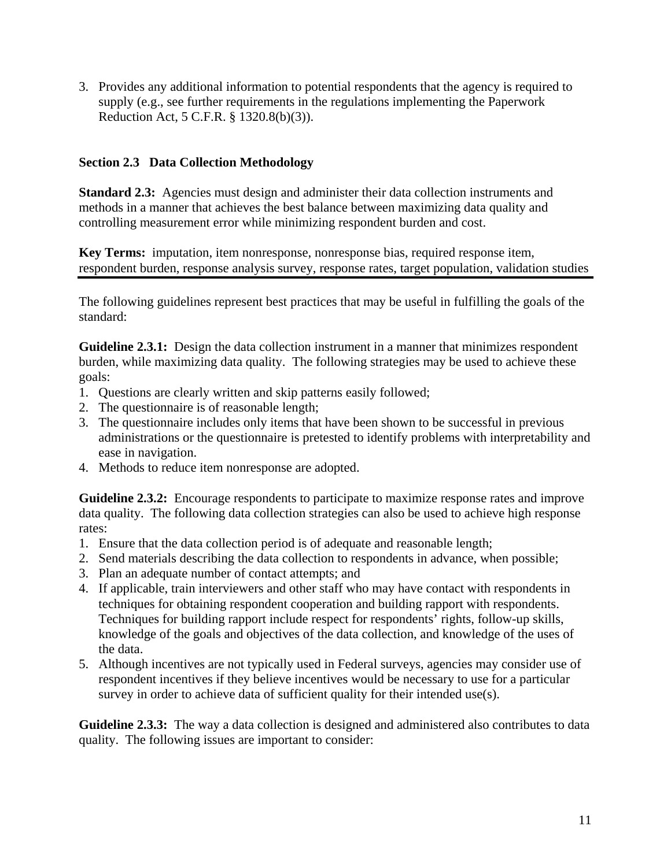<span id="page-15-0"></span>3. Provides any additional information to potential respondents that the agency is required to supply (e.g., see further requirements in the regulations implementing the Paperwork Reduction Act, 5 C.F.R. § 1320.8(b)(3)).

# **Section 2.3 Data Collection Methodology**

**Standard 2.3:** Agencies must design and administer their data collection instruments and methods in a manner that achieves the best balance between maximizing data quality and controlling measurement error while minimizing respondent burden and cost.

**Key Terms:** imputation, item nonresponse, nonresponse bias, required response item, respondent burden, response analysis survey, response rates, target population, validation studies

The following guidelines represent best practices that may be useful in fulfilling the goals of the standard:

**Guideline 2.3.1:** Design the data collection instrument in a manner that minimizes respondent burden, while maximizing data quality. The following strategies may be used to achieve these goals:

- 1. Questions are clearly written and skip patterns easily followed;
- 2. The questionnaire is of reasonable length;
- 3. The questionnaire includes only items that have been shown to be successful in previous administrations or the questionnaire is pretested to identify problems with interpretability and ease in navigation.
- 4. Methods to reduce item nonresponse are adopted.

**Guideline 2.3.2:** Encourage respondents to participate to maximize response rates and improve data quality. The following data collection strategies can also be used to achieve high response rates:

- 1. Ensure that the data collection period is of adequate and reasonable length;
- 2. Send materials describing the data collection to respondents in advance, when possible;
- 3. Plan an adequate number of contact attempts; and
- 4. If applicable, train interviewers and other staff who may have contact with respondents in techniques for obtaining respondent cooperation and building rapport with respondents. Techniques for building rapport include respect for respondents' rights, follow-up skills, knowledge of the goals and objectives of the data collection, and knowledge of the uses of the data.
- 5. Although incentives are not typically used in Federal surveys, agencies may consider use of respondent incentives if they believe incentives would be necessary to use for a particular survey in order to achieve data of sufficient quality for their intended use(s).

**Guideline 2.3.3:** The way a data collection is designed and administered also contributes to data quality. The following issues are important to consider: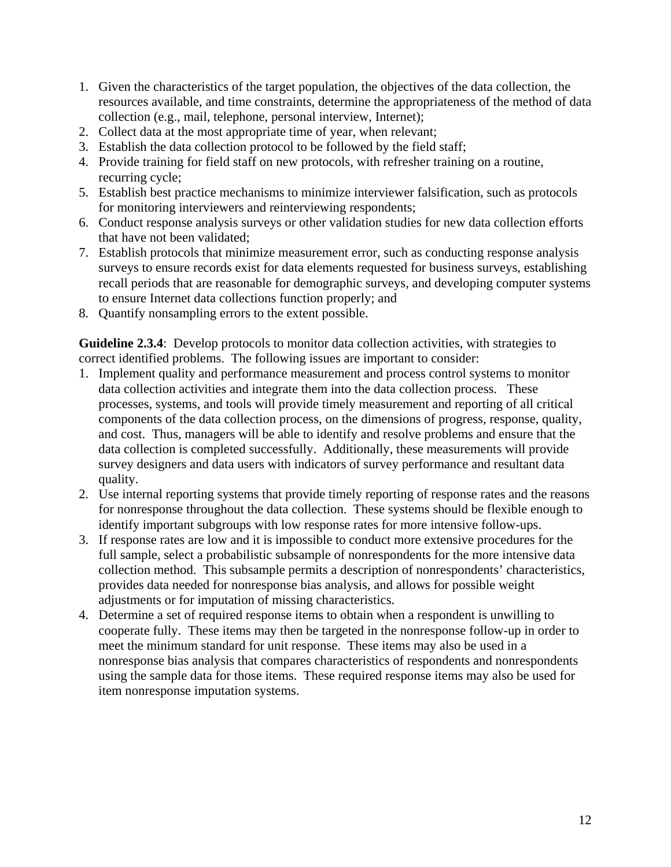- 1. Given the characteristics of the target population, the objectives of the data collection, the resources available, and time constraints, determine the appropriateness of the method of data collection (e.g., mail, telephone, personal interview, Internet);
- 2. Collect data at the most appropriate time of year, when relevant;
- 3. Establish the data collection protocol to be followed by the field staff;
- 4. Provide training for field staff on new protocols, with refresher training on a routine, recurring cycle;
- 5. Establish best practice mechanisms to minimize interviewer falsification, such as protocols for monitoring interviewers and reinterviewing respondents;
- 6. Conduct response analysis surveys or other validation studies for new data collection efforts that have not been validated;
- 7. Establish protocols that minimize measurement error, such as conducting response analysis surveys to ensure records exist for data elements requested for business surveys, establishing recall periods that are reasonable for demographic surveys, and developing computer systems to ensure Internet data collections function properly; and
- 8. Quantify nonsampling errors to the extent possible.

Guideline 2.3.4: Develop protocols to monitor data collection activities, with strategies to correct identified problems. The following issues are important to consider:

- 1. Implement quality and performance measurement and process control systems to monitor data collection activities and integrate them into the data collection process. These processes, systems, and tools will provide timely measurement and reporting of all critical components of the data collection process, on the dimensions of progress, response, quality, and cost. Thus, managers will be able to identify and resolve problems and ensure that the data collection is completed successfully. Additionally, these measurements will provide survey designers and data users with indicators of survey performance and resultant data quality.
- 2. Use internal reporting systems that provide timely reporting of response rates and the reasons for nonresponse throughout the data collection. These systems should be flexible enough to identify important subgroups with low response rates for more intensive follow-ups.
- 3. If response rates are low and it is impossible to conduct more extensive procedures for the full sample, select a probabilistic subsample of nonrespondents for the more intensive data collection method. This subsample permits a description of nonrespondents' characteristics, provides data needed for nonresponse bias analysis, and allows for possible weight adjustments or for imputation of missing characteristics.
- 4. Determine a set of required response items to obtain when a respondent is unwilling to cooperate fully. These items may then be targeted in the nonresponse follow-up in order to meet the minimum standard for unit response. These items may also be used in a nonresponse bias analysis that compares characteristics of respondents and nonrespondents using the sample data for those items. These required response items may also be used for [item nonresponse](http://nces.ed.gov/statprog/2002/glossary.asp) imputation systems.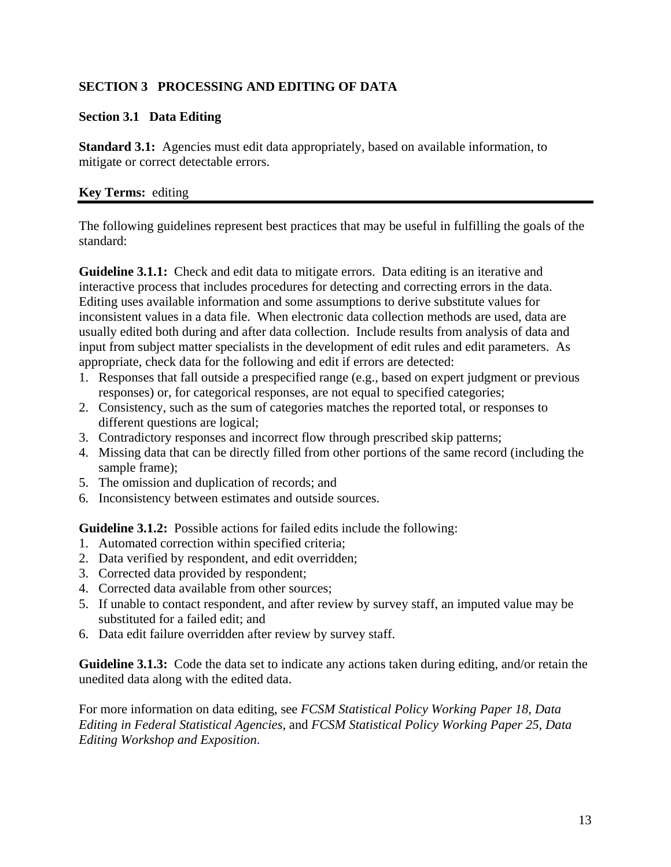# <span id="page-17-0"></span>**SECTION 3 PROCESSING AND EDITING OF DATA**

# **Section 3.1 Data Editing**

**Standard 3.1:** Agencies must edit data appropriately, based on available information, to mitigate or correct detectable errors.

## **Key Terms:** editing

The following guidelines represent best practices that may be useful in fulfilling the goals of the standard:

**Guideline 3.1.1:** Check and edit data to mitigate errors. Data editing is an iterative and interactive process that includes procedures for detecting and correcting errors in the data. Editing uses available information and some assumptions to derive substitute values for inconsistent values in a data file. When electronic data collection methods are used, data are usually edited both during and after data collection. Include results from analysis of data and input from subject matter specialists in the development of edit rules and edit parameters. As appropriate, check data for the following and edit if errors are detected:

- 1. Responses that fall outside a prespecified range (e.g., based on expert judgment or previous responses) or, for categorical responses, are not equal to specified categories;
- 2. Consistency, such as the sum of categories matches the reported total, or responses to different questions are logical;
- 3. Contradictory responses and incorrect flow through prescribed skip patterns;
- 4. Missing data that can be directly filled from other portions of the same record (including the sample frame);
- 5. The omission and duplication of records; and
- 6. Inconsistency between estimates and outside sources.

**Guideline 3.1.2:** Possible actions for failed edits include the following:

- 1. Automated correction within specified criteria;
- 2. Data verified by respondent, and edit overridden;
- 3. Corrected data provided by respondent;
- 4. Corrected data available from other sources;
- 5. If unable to contact respondent, and after review by survey staff, an imputed value may be substituted for a failed edit; and
- 6. Data edit failure overridden after review by survey staff.

**Guideline 3.1.3:** Code the data set to indicate any actions taken during editing, and/or retain the unedited data along with the edited data.

For more information on data editing, see *[FCSM Statistical Policy Working Paper 18](http://www.fcsm.gov/working-papers/wp18.html), Data Editing in Federal Statistical Agencies*, and *[FCSM Statistical Policy Working Paper 25,](http://www.fcsm.gov/working-papers/wp25a.html) Data Editing Workshop and Exposition*.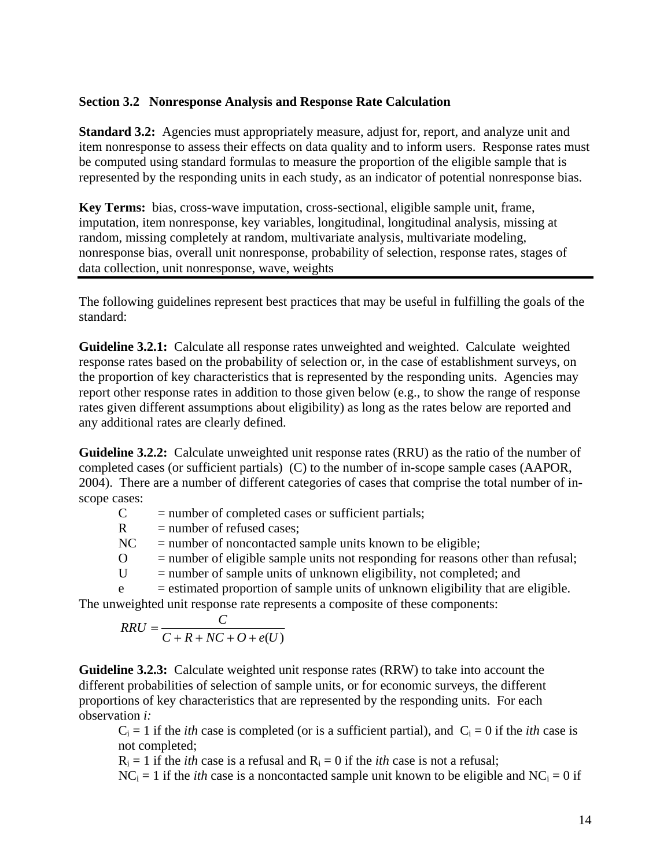#### <span id="page-18-0"></span>**Section 3.2 Nonresponse Analysis and Response Rate Calculation**

**Standard 3.2:** Agencies must appropriately measure, adjust for, report, and analyze unit and item nonresponse to assess their effects on data quality and to inform users. Response rates must be computed using standard formulas to measure the proportion of the eligible sample that is represented by the responding units in each study, as an indicator of potential nonresponse bias.

**Key Terms:** bias, cross-wave imputation, cross-sectional, eligible sample unit, frame, imputation, item nonresponse, key variables, longitudinal, longitudinal analysis, missing at random, missing completely at random, multivariate analysis, multivariate modeling, nonresponse bias, overall unit nonresponse, probability of selection, response rates, stages of data collection, unit nonresponse, wave, weights

The following guidelines represent best practices that may be useful in fulfilling the goals of the standard:

**Guideline 3.2.1:** Calculate all response rates unweighted and weighted. Calculate weighted response rates based on the probability of selection or, in the case of establishment surveys, on the proportion of key characteristics that is represented by the responding units. Agencies may report other response rates in addition to those given below (e.g., to show the range of response rates given different assumptions about eligibility) as long as the rates below are reported and any additional rates are clearly defined.

**Guideline 3.2.2:** Calculate unweighted unit response rates (RRU) as the ratio of the number of completed cases (or sufficient partials) (C) to the number of in-scope sample cases (AAPOR, 2004). There are a number of different categories of cases that comprise the total number of inscope cases:

| C                                                                                                                                                                                                                                  | $=$ number of completed cases or sufficient partials;                              |  |
|------------------------------------------------------------------------------------------------------------------------------------------------------------------------------------------------------------------------------------|------------------------------------------------------------------------------------|--|
| R.                                                                                                                                                                                                                                 | $=$ number of refused cases;                                                       |  |
| NC                                                                                                                                                                                                                                 | $=$ number of noncontacted sample units known to be eligible;                      |  |
|                                                                                                                                                                                                                                    | $=$ number of eligible sample units not responding for reasons other than refusal; |  |
|                                                                                                                                                                                                                                    | $=$ number of sample units of unknown eligibility, not completed; and              |  |
| e                                                                                                                                                                                                                                  | $=$ estimated proportion of sample units of unknown eligibility that are eligible. |  |
| $\mathcal{L}$ , and the contract of the contract of the contract of the contract of the contract of the contract of the contract of the contract of the contract of the contract of the contract of the contract of the contract o |                                                                                    |  |

The unweighted unit response rate represents a composite of these components:

$$
RRU = \frac{C}{C + R + NC + O + e(U)}
$$

**Guideline 3.2.3:** Calculate weighted unit response rates (RRW) to take into account the different probabilities of selection of sample units, or for economic surveys, the different proportions of key characteristics that are represented by the responding units. For each observation *i:*

 $C_i = 1$  if the *ith* case is completed (or is a sufficient partial), and  $C_i = 0$  if the *ith* case is not completed;

 $R_i = 1$  if the *ith* case is a refusal and  $R_i = 0$  if the *ith* case is not a refusal;

 $NC_i = 1$  if the *ith* case is a noncontacted sample unit known to be eligible and  $NC_i = 0$  if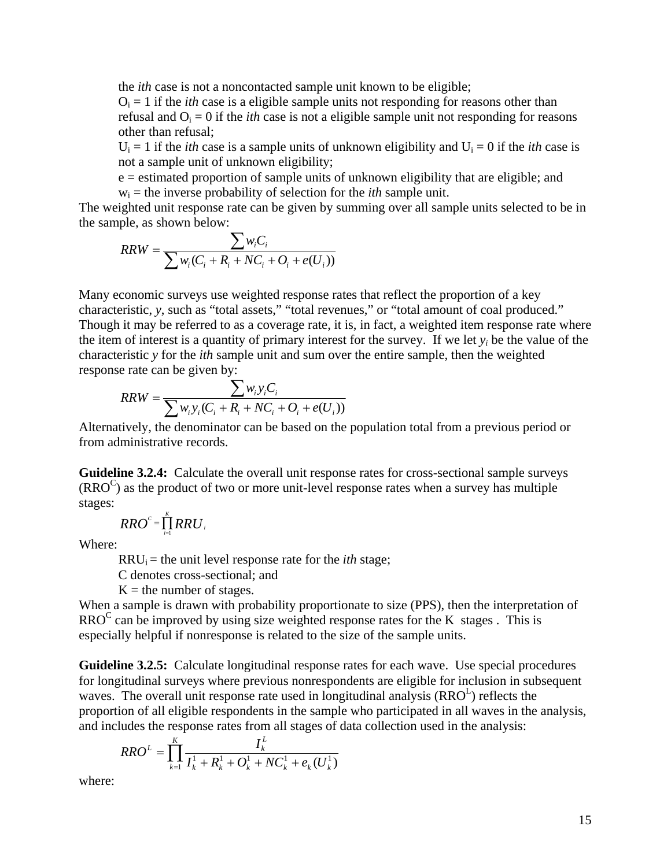the *ith* case is not a noncontacted sample unit known to be eligible;

 $O_i = 1$  if the *ith* case is a eligible sample units not responding for reasons other than refusal and  $O_i = 0$  if the *ith* case is not a eligible sample unit not responding for reasons other than refusal;

 $U_i = 1$  if the *ith* case is a sample units of unknown eligibility and  $U_i = 0$  if the *ith* case is not a sample unit of unknown eligibility;

e = estimated proportion of sample units of unknown eligibility that are eligible; and  $w_i$  = the inverse probability of selection for the *ith* sample unit.

The weighted unit response rate can be given by summing over all sample units selected to be in the sample, as shown below:

$$
RRW = \frac{\sum w_i C_i}{\sum w_i (C_i + R_i + NC_i + O_i + e(U_i))}
$$

Many economic surveys use weighted response rates that reflect the proportion of a key characteristic, *y*, such as "total assets," "total revenues," or "total amount of coal produced." Though it may be referred to as a coverage rate, it is, in fact, a weighted item response rate where the item of interest is a quantity of primary interest for the survey. If we let *yi* be the value of the characteristic *y* for the *ith* sample unit and sum over the entire sample, then the weighted response rate can be given by:

$$
RRW = \frac{\sum w_i y_i C_i}{\sum w_i y_i (C_i + R_i + NC_i + O_i + e(U_i))}
$$

Alternatively, the denominator can be based on the population total from a previous period or from administrative records.

**Guideline 3.2.4:** Calculate the overall unit response rates for cross-sectional sample surveys  $(RRO<sup>C</sup>)$  as the product of two or more unit-level response rates when a survey has multiple stages:

$$
RRO^{c} = \prod_{i=1}^{K} RRU_{i}
$$

Where:

 $RRU_i$  = the unit level response rate for the *ith* stage;

C denotes cross-sectional; and

 $K =$  the number of stages.

When a sample is drawn with probability proportionate to size (PPS), then the interpretation of  $RRO<sup>C</sup>$  can be improved by using size weighted response rates for the K stages. This is especially helpful if nonresponse is related to the size of the sample units.

**Guideline 3.2.5:** Calculate longitudinal response rates for each wave. Use special procedures for longitudinal surveys where previous nonrespondents are eligible for inclusion in subsequent waves. The overall unit response rate used in longitudinal analysis  $(RRO<sup>L</sup>)$  reflects the proportion of all eligible respondents in the sample who participated in all waves in the analysis, and includes the response rates from all stages of data collection used in the analysis:

$$
RRO^{L} = \prod_{k=1}^{K} \frac{I_{k}^{L}}{I_{k}^{1} + R_{k}^{1} + O_{k}^{1} + NC_{k}^{1} + e_{k}(U_{k}^{1})}
$$

where: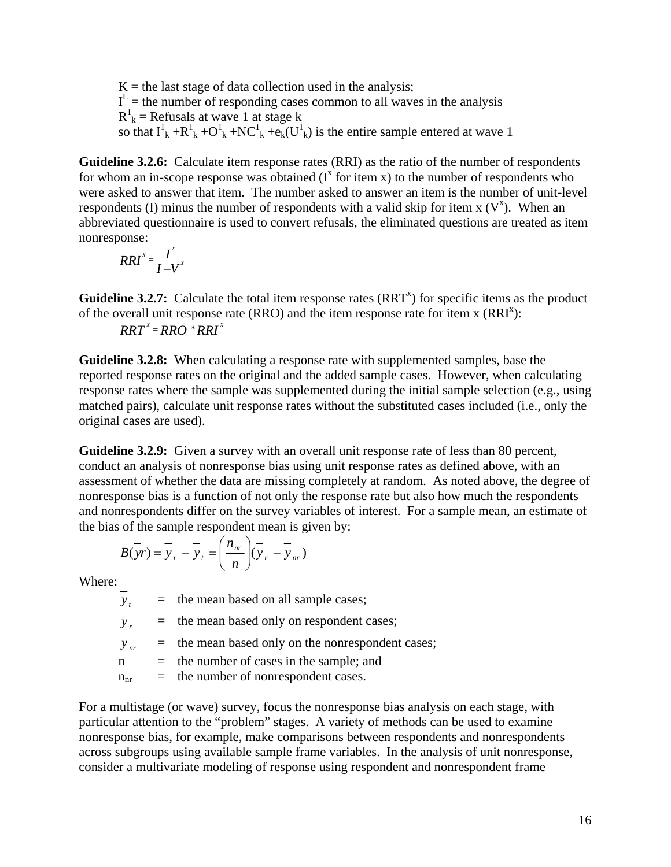$K =$  the last stage of data collection used in the analysis;  $I<sup>L</sup>$  = the number of responding cases common to all waves in the analysis  $R^1_k$  = Refusals at wave 1 at stage k so that  $I^1_k + R^1_k + O^1_k + NC^1_k + \mathfrak{e}_k(U^1_k)$  is the entire sample entered at wave 1

**Guideline 3.2.6:** Calculate item response rates (RRI) as the ratio of the number of respondents for whom an in-scope response was obtained  $(I^x)$  for item x) to the number of respondents who were asked to answer that item. The number asked to answer an item is the number of unit-level respondents (I) minus the number of respondents with a valid skip for item  $x(V^x)$ . When an abbreviated questionnaire is used to convert refusals, the eliminated questions are treated as item nonresponse:

$$
RRI^{x} = \frac{I^{x}}{I-V^{x}}
$$

**Guideline 3.2.7:** Calculate the total item response rates  $(RRT^x)$  for specific items as the product of the overall unit response rate (RRO) and the item response rate for item x  $(RRI<sup>x</sup>)$ :

 $RRT^x = RRO * RRI^x$ 

**Guideline 3.2.8:** When calculating a response rate with supplemented samples, base the reported response rates on the original and the added sample cases. However, when calculating response rates where the sample was supplemented during the initial sample selection (e.g., using matched pairs), calculate unit response rates without the substituted cases included (i.e., only the original cases are used).

**Guideline 3.2.9:** Given a survey with an overall unit response rate of less than 80 percent, conduct an analysis of nonresponse bias using unit response rates as defined above, with an assessment of whether the data are missing completely at random. As noted above, the degree of nonresponse bias is a function of not only the response rate but also how much the respondents and nonrespondents differ on the survey variables of interest. For a sample mean, an estimate of the bias of the sample respondent mean is given by:

$$
B(\overline{y}r) = \overline{y}_r - \overline{y}_t = \left(\frac{n_{nr}}{n}\right) (\overline{y}_r - \overline{y}_{nr})
$$

Where:

 $\frac{v}{y}$  = the mean based on all sample cases;<br> $\frac{v}{y}$  = the mean based only on respondent c  $=$  the mean based only on respondent cases;

*y*<sub>*nr*</sub> = the mean based only on the nonrespondent cases;

 $n =$  the number of cases in the sample; and

 $n_{nr}$  = the number of nonrespondent cases.

For a multistage (or wave) survey, focus the nonresponse bias analysis on each stage, with particular attention to the "problem" stages. A variety of methods can be used to examine nonresponse bias, for example, make comparisons between respondents and nonrespondents across subgroups using available sample frame variables. In the analysis of unit nonresponse, consider a multivariate modeling of response using respondent and nonrespondent frame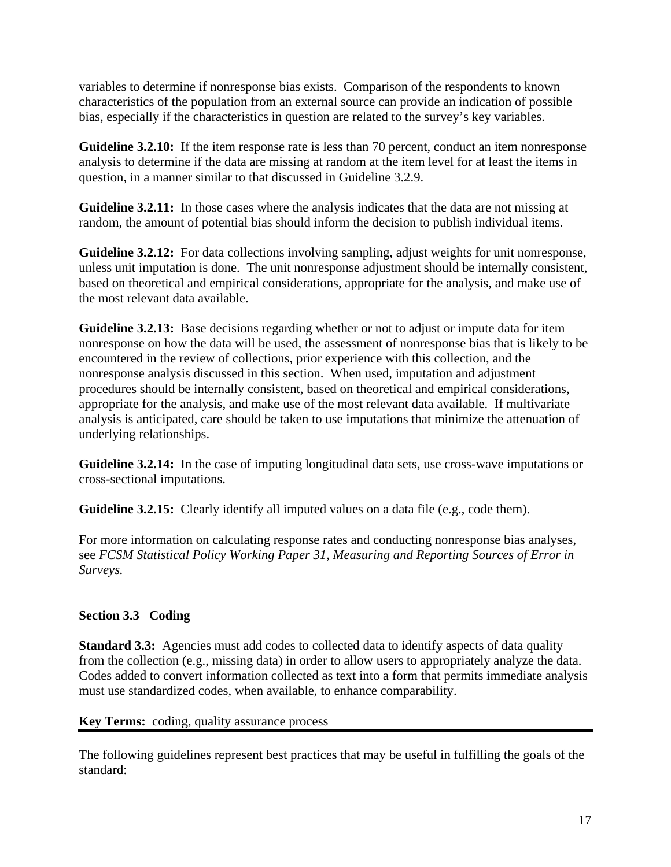<span id="page-21-0"></span>variables to determine if nonresponse bias exists. Comparison of the respondents to known characteristics of the population from an external source can provide an indication of possible bias, especially if the characteristics in question are related to the survey's key variables.

analysis to determine if the data are missing at random at the item level for at least the items in question, in a manner similar to that discussed in Guideline 3.2.9. **Guideline 3.2.10:** If the item response rate is less than 70 percent, conduct an item nonresponse

random, the amount of potential bias should inform the decision to publish individual items. **Guideline 3.2.11:** In those cases where the analysis indicates that the data are not missing at

based on theoretical and empirical considerations, appropriate for the analysis, and make use of the most relevant data available. **Guideline 3.2.12:** For data collections involving sampling, adjust weights for unit nonresponse, unless unit imputation is done. The unit nonresponse adjustment should be internally consistent,

nonresponse on how the data will be used, the assessment of nonresponse bias that is likely to be analysis is anticipated, care should be taken to use imputations that minimize the attenuation of underlying relationships. **Guideline 3.2.13:** Base decisions regarding whether or not to adjust or impute data for item encountered in the review of collections, prior experience with this collection, and the nonresponse analysis discussed in this section. When used, imputation and adjustment procedures should be internally consistent, based on theoretical and empirical considerations, appropriate for the analysis, and make use of the most relevant data available. If multivariate

Guideline 3.2.14: In the case of imputing longitudinal data sets, use cross-wave imputations or ross-sectional imputations. c

Guideline 3.2.15: Clearly identify all imputed values on a data file (e.g., code them).

*Statistical Policy Working Paper 31, Measuring and Reporting Sources of Error in*  see *[FCSM](http://www.fcsm.gov/working-papers/spwp22.html)  urveys. S* For more information on calculating response rates and conducting nonresponse bias analyses,

# Section 3.3 Coding

Codes added to convert information collected as text into a form that permits immediate analysis must use standardized codes, when available, to enhance comparability. **Standard 3.3:** Agencies must add codes to collected data to identify aspects of data quality from the collection (e.g., missing data) in order to allow users to appropriately analyze the data.

# **ey Terms:** coding, quality assurance process **K**

The following guidelines represent best practices that may be useful in fulfilling the goals of the standard: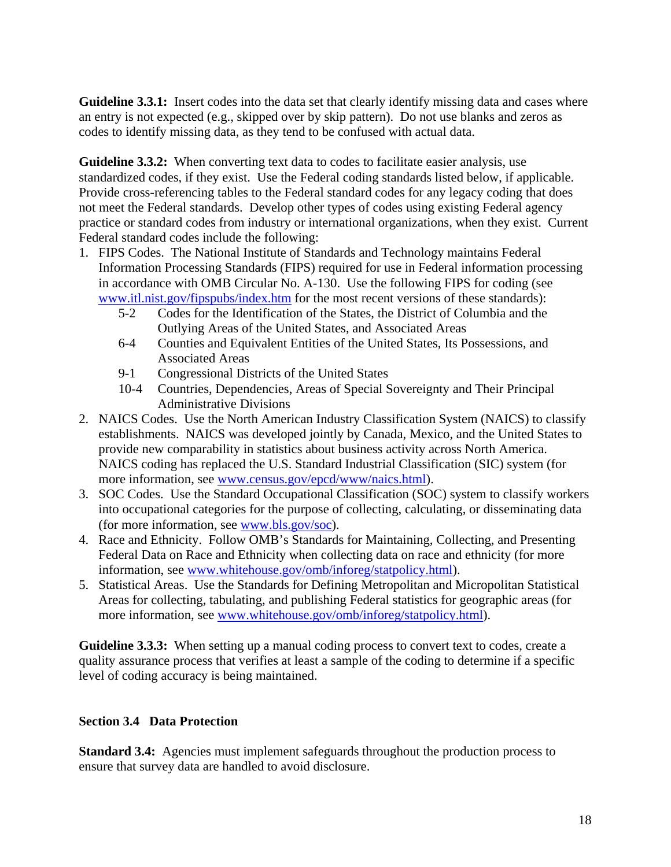<span id="page-22-0"></span>Guideline 3.3.1: Insert codes into the data set that clearly identify missing data and cases where an entry is not expected (e.g., skipped over by skip pattern). Do not use blan ks and zeros as codes to identify missing data, as they tend to be confused with actual data.

Provide cross-referencing tables to the Federal standard codes for any legacy coding that does practice or standard codes from industry or international organizations, when they exist. Current **Guideline 3.3.2:** When converting text data to codes to facilitate easier analysis, use standardized codes, if they exist. Use the Federal coding standards listed below, if applicable. not meet the Federal standards. Develop other types of codes using existing Federal agency Federal standard codes include the following:

- 1. FIPS Codes. The National Institute of Standards and Technology maintains Federal Information Processing Standards (FIPS) required for use in Federal information processing www.itl.nist.gov/fipspubs/index.htm for the most recent versions of these standards): in accordance with OMB Circular No. A-130. Use the following FIPS for coding (see
	- 5-2 Codes for the Identification of the States, the District of Columbia and the Outlying Areas of the United States, and Associated Areas
	- 6-4 Counties and Equivalent Entities of the United States, Its Possessions, and Associated Areas
	- 9-1 Congressional Districts of the United States
	- 10-4 Countries, Dependencies, Areas of Special Sovereignty and Their Principal Administrative Divisions
- 2. NAICS Codes. Use the North American Industry Classification System (NAICS) to classify establishments. NAICS was developed jointly by Canada, Mexico, and the United States to NAICS coding has replaced the U.S. Standard Industrial Classification (SIC) system (for provide new comparability in statistics about business activity across North America. more information, see [www.census.gov/epcd/www/naics.html\)](http://www.bls.gov/soc).
- 3. SOC Codes. Use the Standard Occupational Classification (SOC) system to classify workers into occupational categories for the purpose of collecting, calculating, or disseminating data (for more information, see [www.bls.gov/soc\)](http://www.whitehouse.gov/omb/inforeg/statpolicy.html).
- Race and Ethnicity. Follow OMB's Standards for Maintaining, Collecting, and Presenting 4. Federal Data on Race and Ethnicity when collecting data on race and ethnicity (for more information, see [www.whitehouse.gov/omb/inforeg/statpolicy.html](http://www.whitehouse.gov/omb/inforeg/statpolicy.html)).
- 5. Statistical Areas. Use the Standards for Defining Metropolitan and Micropolitan Statistical Areas for collecting, tabulating, and publishing Federal statistics for geograp hic areas (for more information, see www.whitehouse.gov/omb/inforeg/statpolicy.html).

quality assurance process that verifies at least a sample of the coding to determine if a specific level of coding accuracy is being maintained. **Guideline 3.3.3:** When setting up a manual coding process to convert text to codes, create a

# **section 3.4 Data Protection**

Standard 3.4: Agencies must implement safeguards throughout the production process to ensure that survey data are handled to avoid disclosure.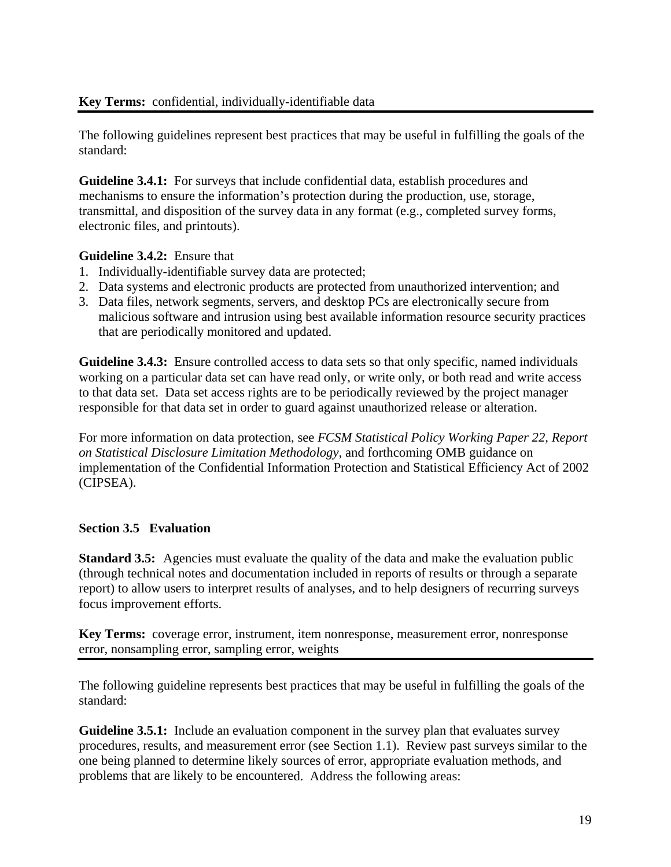# <span id="page-23-0"></span>**Key Terms:** confidential, individually-identifiable data

The following guidelines represent best practices that may be useful in fulfilling the goals of the standard:

transmittal, and disposition of the survey data in any format (e.g., completed survey forms, electronic files, and printouts). **Guideline 3.4.1:** For surveys that include confidential data, establish procedures and mechanisms to ensure the information's protection during the production, use, storage,

#### **Guideline 3.4.2:** Ensure that

- 1. Individually-identifiable survey data are protected;
- 2. Data systems and electronic products are protected from unauthorized intervention; and
- 3. Data files, network segments, servers, and desktop PCs are electronically secure from malicious software and intrusion using best available information resource security practices that are periodically monitored and updated.

working on a particular data set can have read only, or write only, or both read and write access to that data set. Data set access rights are to be periodically reviewed by the project manager responsible for that data set in order to guard against unauthorized release or alteration. **Guideline 3.4.3:** Ensure controlled access to data sets so that only specific, named individuals

For more information on data protection, see *[FCSM Statistical Policy Working Paper 2](http://www.fcsm.gov/working-papers/spwp22.html)2, Report* [implementat](http://www.fcsm.gov/working-papers/spwp22.html)ion of the Confidential Information Protection and Statistical Efficiency Act of 2002 (CIPSEA). *[on Statistical Disclosure Limitation Methodology,](http://www.fcsm.gov/working-papers/spwp22.html)* and forthcoming OMB guidance on

#### **section 3.5 Evaluation**

report) to allow users to interpret results of analyses, and to help designers of recurring surveys focus improvement efforts. **Standard 3.5:** Agencies must evaluate the quality of the data and make the evaluation public (through technical notes and documentation included in reports of results or through a separate

Key Terms: coverage error, instrument, item nonresponse, measurement error, nonresponse error, nonsampling error, sampling error, weights

The following guideline represents best practices that may be useful in fulfilling the goals of the standard:

procedures, results, and measurement error (see Section 1.1). Review past surveys similar to the one being planned to determine likely sources of error, appropriate evaluation methods, and problems that are likely to be encountered. Address the following areas: **Guideline 3.5.1:** Include an evaluation component in the survey plan that evaluates survey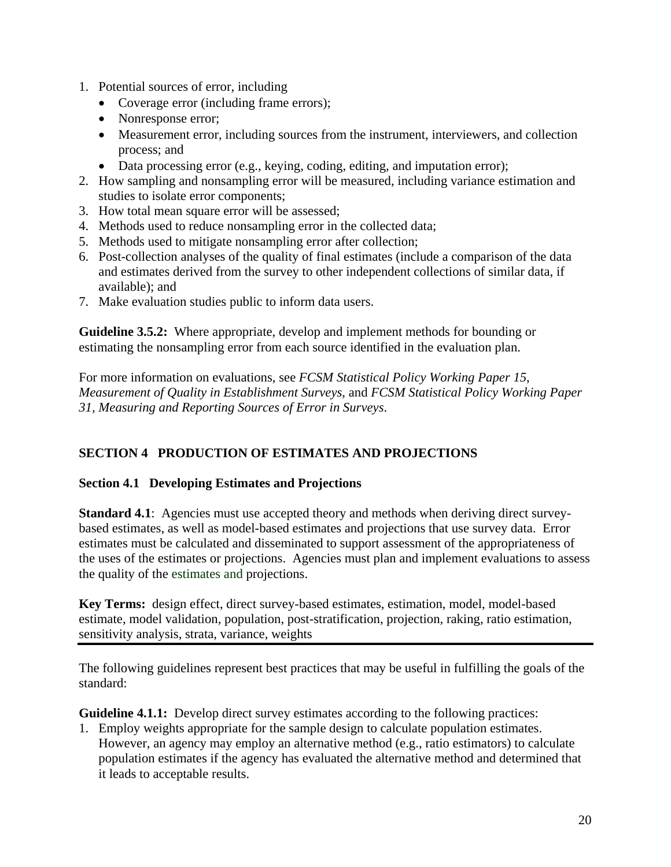- <span id="page-24-0"></span>1. Potential sources of error, including
	- Coverage error (including frame errors);
	- Nonresponse error;
	- Measurement error, including sources from the instrument, interviewers, and collection process; and
	- Data processing error (e.g., keying, coding, editing, and imputation error);
- 2. How sampling and nonsampling error will be measured, including variance estimation and studies to isolate error components;
- 3. How total mean square error will be assessed;
- 4. Methods used to reduce nonsampling error in the collected data;
- 5. Methods used to mitigate nonsampling error after collection;
- 6. Post-collection analyses of the quality of final estimates (include a comparison of the data and estimates derived from the survey to other independent collections of similar data, if available); and
- . Make evaluation studies public to inform data users. 7

Guideline 3.5.2: Where appropriate, develop and implement methods for bounding or estimating the nonsampling error from each source identified in the evaluation plan.

*Measurement of Quality in Establishment Surveys, and [FCS](http://www.fcsm.gov/01papers/SPWP31_final.pdf)M Statistical Policy Working Paper 1, Measuring and Reporting Sources of Error in Surveys*. *3* For more information on evaluations, see *[FCSM Statistical Policy Working Paper 15](http://www.fcsm.gov/working-papers/wp15.html)*,

# **ECTION 4 PRODUCTION OF ESTIMATES AND PROJECTIONS S**

#### Section 4.1 Developing Estimates and Projections

the uses of the estimates or projections. Agencies must plan and implement evaluations to assess the quality of the estimates and projections. **Standard 4.1:** Agencies must use accepted theory and methods when deriving direct surveybased estimates, as well as model-based estimates and projections that use survey data. Error estimates must be calculated and disseminated to support assessment of the appropriateness of

estimate, model validation, population, post-stratification, projection, raking, ratio estimation, sensitivity analysis, strata, variance, weights **Key Terms:** design effect, direct survey-based estimates, estimation, model, model-based

The following guidelines represent best practices that may be useful in fulfilling the goals of the standard:

**Guideline 4.1.1:** Develop direct survey estimates according to the following practices:

1. Employ weights appropriate for the sample design to calculate population estimates. population estimates if the agency has evaluated the alternative method and determined that it leads to acceptable results. However, an agency may employ an alternative method (e.g., ratio estimators) to calculate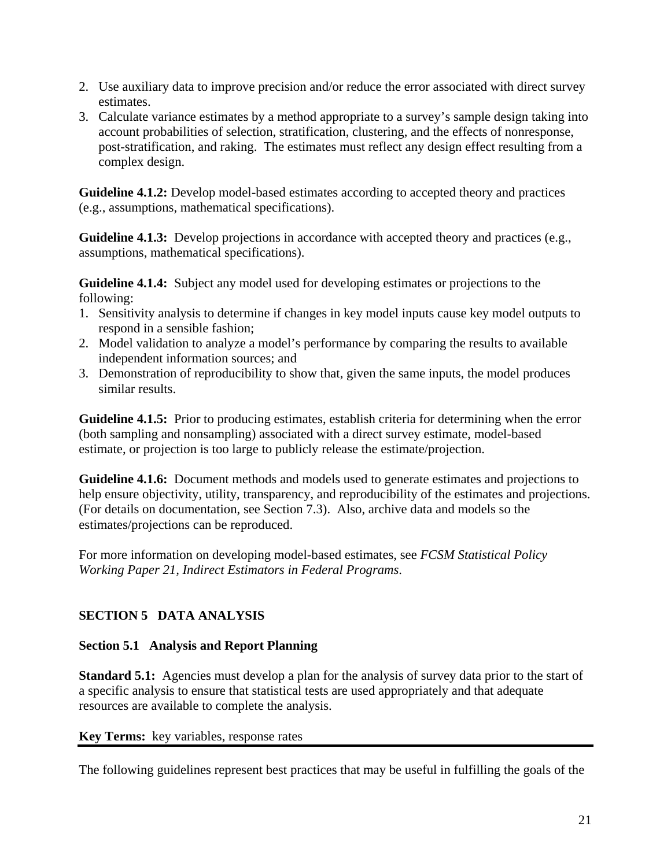- <span id="page-25-0"></span>2. Use auxiliary data to improve precision and/or reduce the error associated with direct survey estimates.
- 3. Calculate variance estimates by a method appropriate to a survey's sample design taking into account probabilities of selection, stratification, clustering, and the effects of nonresponse, post-stratification, and raking. The estimates must reflect any design effect resulting from a complex design.

**Guideline 4.1.2:** Develop model-based estimates according to accepted theory and practices (e.g., assumptions, mathematical specifications).

**Guideline 4.1.3:** Develop projections in accordance with accepted theory and practices (e.g., assumptions, mathematical specifications).

**Guideline 4.1.4:** Subject any model used for developing estimates or projections to the following:

- 1. Sensitivity analysis to determine if changes in key model inputs cause key model outputs to respond in a sensible fashion;
- 2. Model validation to analyze a model's performance by comparing the results to available independent information sources; and
- 3. Demonstration of reproducibility to show that, given the same inputs, the model produces similar results.

**Guideline 4.1.5:** Prior to producing estimates, establish criteria for determining when the error (both sampling and nonsampling) associated with a direct survey estimate, model-based estimate, or projection is too large to publicly release the estimate/projection.

**Guideline 4.1.6:** Document methods and models used to generate estimates and projections to help ensure objectivity, utility, transparency, and reproducibility of the estimates and projections. (For details on documentation, see Section 7.3). Also, archive data and models so the estimates/projections can be reproduced.

For more information on developing model-based estimates, see *[FCSM Statistical Policy](http://www.fcsm.gov/working-papers/wp21.html)  [Working Paper 21,](http://www.fcsm.gov/working-papers/wp21.html) Indirect Estimators in Federal Programs*.

# **SECTION 5 DATA ANALYSIS**

# **Section 5.1 Analysis and Report Planning**

**Standard 5.1:** Agencies must develop a plan for the analysis of survey data prior to the start of a specific analysis to ensure that statistical tests are used appropriately and that adequate resources are available to complete the analysis.

# **Key Terms:** key variables, response rates

The following guidelines represent best practices that may be useful in fulfilling the goals of the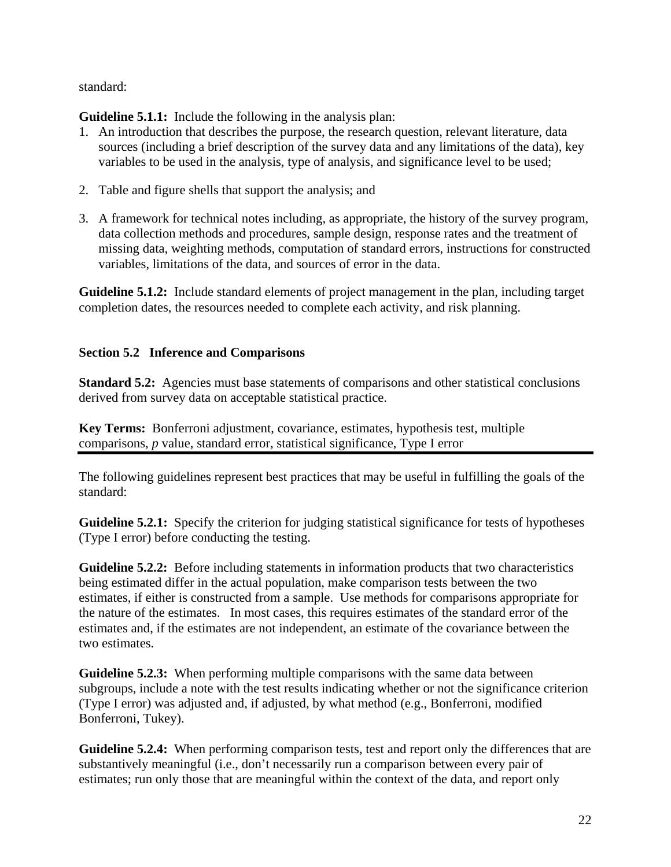## <span id="page-26-0"></span>standard:

**Guideline 5.1.1:** Include the following in the analysis plan:

- 1. An introduction that describes the purpose, the research question, relevant literature, data sources (including a brief description of the survey data and any limitations of the data), key variables to be used in the analysis, type of analysis, and significance level to be used;
- 2. Table and figure shells that support the analysis; and
- 3. A framework for technical notes including, as appropriate, the history of the survey program, data collection methods and procedures, sample design, response rates and the treatment of missing data, weighting methods, computation of standard errors, instructions for constructed variables, limitations of the data, and sources of error in the data.

**Guideline 5.1.2:** Include standard elements of project management in the plan, including target completion dates, the resources needed to complete each activity, and risk planning.

# **Section 5.2 Inference and Comparisons**

**Standard 5.2:** Agencies must base statements of comparisons and other statistical conclusions derived from survey data on acceptable statistical practice.

**Key Terms:** Bonferroni adjustment, covariance, estimates, hypothesis test, multiple comparisons, *p* value, standard error, statistical significance, Type I error

The following guidelines represent best practices that may be useful in fulfilling the goals of the standard:

**Guideline 5.2.1:** Specify the criterion for judging statistical significance for tests of hypotheses (Type I error) before conducting the testing.

**Guideline 5.2.2:** Before including statements in information products that two characteristics being estimated differ in the actual population, make comparison tests between the two estimates, if either is constructed from a sample. Use methods for comparisons appropriate for the nature of the estimates. In most cases, this requires estimates of the standard error of the estimates and, if the estimates are not independent, an estimate of the covariance between the two estimates.

**Guideline 5.2.3:** When performing multiple comparisons with the same data between subgroups, include a note with the test results indicating whether or not the significance criterion (Type I error) was adjusted and, if adjusted, by what method (e.g., Bonferroni, modified Bonferroni, Tukey).

**Guideline 5.2.4:** When performing comparison tests, test and report only the differences that are substantively meaningful (i.e., don't necessarily run a comparison between every pair of estimates; run only those that are meaningful within the context of the data, and report only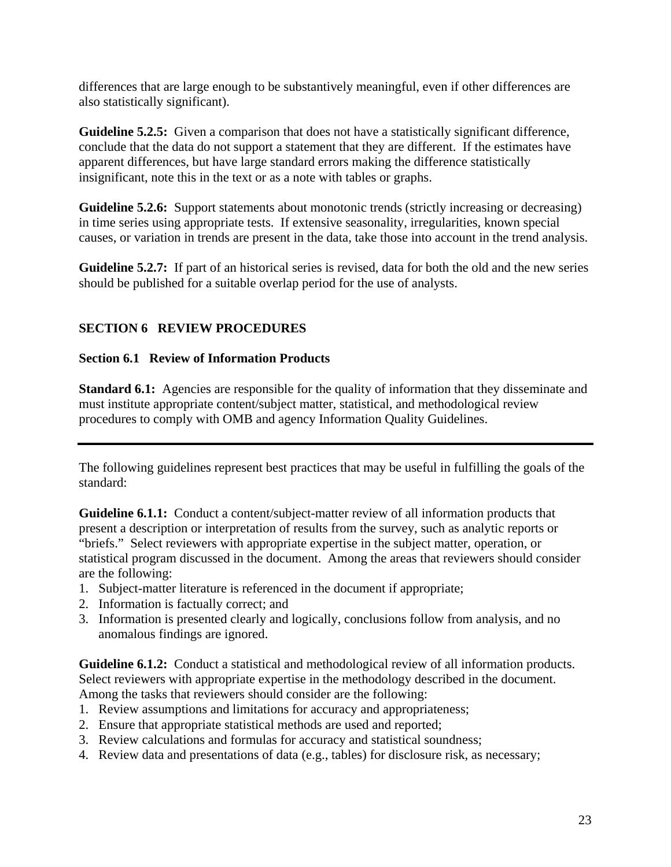<span id="page-27-0"></span>differences that are large enough to be substantively meaningful, even if other differences are also statistically significant).

**Guideline 5.2.5:** Given a comparison that does not have a statistically significant difference, conclude that the data do not support a statement that they are different. If the estimates have apparent differences, but have large standard errors making the difference statistically insignificant, note this in the text or as a note with tables or graphs.

**Guideline 5.2.6:** Support statements about monotonic trends (strictly increasing or decreasing) in time series using appropriate tests. If extensive seasonality, irregularities, known special causes, or variation in trends are present in the data, take those into account in the trend analysis.

**Guideline 5.2.7:** If part of an historical series is revised, data for both the old and the new series should be published for a suitable overlap period for the use of analysts.

# **SECTION 6 REVIEW PROCEDURES**

# **Section 6.1 Review of Information Products**

**Standard 6.1:** Agencies are responsible for the quality of information that they disseminate and must institute appropriate content/subject matter, statistical, and methodological review procedures to comply with OMB and agency Information Quality Guidelines.

The following guidelines represent best practices that may be useful in fulfilling the goals of the standard:

**Guideline 6.1.1:** Conduct a content/subject-matter review of all information products that present a description or interpretation of results from the survey, such as analytic reports or "briefs." Select reviewers with appropriate expertise in the subject matter, operation, or statistical program discussed in the document. Among the areas that reviewers should consider are the following:

- 1. Subject-matter literature is referenced in the document if appropriate;
- 2. Information is factually correct; and
- 3. Information is presented clearly and logically, conclusions follow from analysis, and no anomalous findings are ignored.

**Guideline 6.1.2:** Conduct a statistical and methodological review of all information products. Select reviewers with appropriate expertise in the methodology described in the document. Among the tasks that reviewers should consider are the following:

- 1. Review assumptions and limitations for accuracy and appropriateness;
- 2. Ensure that appropriate statistical methods are used and reported;
- 3. Review calculations and formulas for accuracy and statistical soundness;
- 4. Review data and presentations of data (e.g., tables) for disclosure risk, as necessary;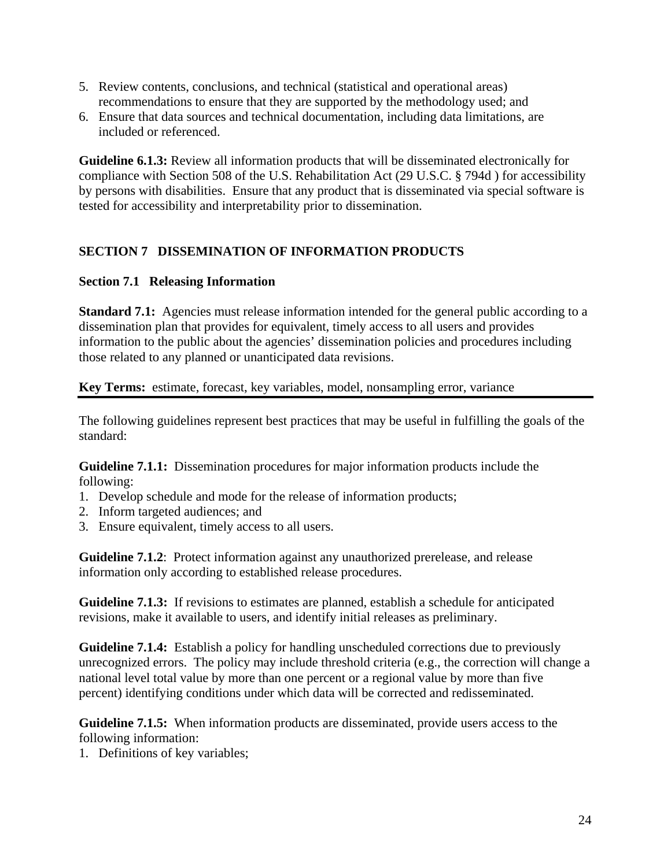- <span id="page-28-0"></span>5. Review contents, conclusions, and technical (statistical and operational areas) recommendations to ensure that they are supported by the methodology used; and
- 6. Ensure that data sources and technical documentation, including data limitations, are included or referenced.

**Guideline 6.1.3:** Review all information products that will be disseminated electronically for compliance with Section 508 of the U.S. Rehabilitation Act (29 U.S.C. § 794d ) for accessibility by persons with disabilities. Ensure that any product that is disseminated via special software is tested for accessibility and interpretability prior to dissemination.

# **SECTION 7 DISSEMINATION OF INFORMATION PRODUCTS**

#### **Section 7.1 Releasing Information**

**Standard 7.1:** Agencies must release information intended for the general public according to a dissemination plan that provides for equivalent, timely access to all users and provides information to the public about the agencies' dissemination policies and procedures including those related to any planned or unanticipated data revisions.

#### **Key Terms:** estimate, forecast, key variables, model, nonsampling error, variance

The following guidelines represent best practices that may be useful in fulfilling the goals of the standard:

**Guideline 7.1.1:** Dissemination procedures for major information products include the following:

- 1. Develop schedule and mode for the release of information products;
- 2. Inform targeted audiences; and
- 3. Ensure equivalent, timely access to all users.

**Guideline 7.1.2**: Protect information against any unauthorized prerelease, and release information only according to established release procedures.

**Guideline 7.1.3:** If revisions to estimates are planned, establish a schedule for anticipated revisions, make it available to users, and identify initial releases as preliminary.

**Guideline 7.1.4:** Establish a policy for handling unscheduled corrections due to previously unrecognized errors. The policy may include threshold criteria (e.g., the correction will change a national level total value by more than one percent or a regional value by more than five percent) identifying conditions under which data will be corrected and redisseminated.

**Guideline 7.1.5:** When information products are disseminated, provide users access to the following information:

1. Definitions of key variables;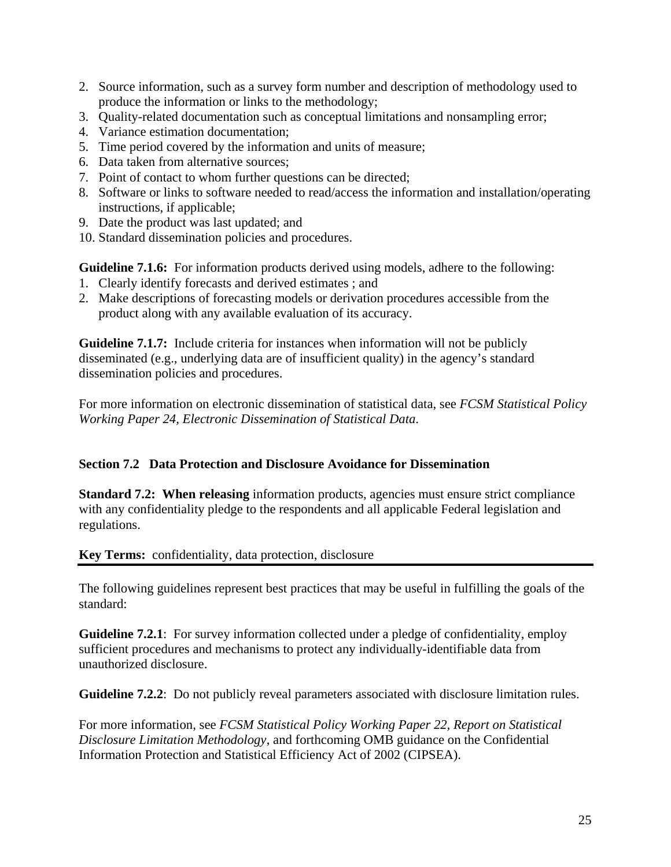- <span id="page-29-0"></span>2. Source information, such as a survey form number and description of methodology used to produce the information or links to the methodology;
- 3. Quality-related documentation such as conceptual limitations and nonsampling error;
- 4. Variance estimation documentation;
- 5. Time period covered by the information and units of measure;
- 6. Data taken from alternative sources;
- 7. Point of contact to whom further questions can be directed;
- 8. Software or links to software needed to read/access the information and installation/operating instructions, if applicable;
- 9. Date the product was last updated; and
- 10. Standard dissemination policies and procedures.

**Guideline 7.1.6:** For information products derived using models, adhere to the following:

- 1. Clearly identify forecasts and derived estimates ; and
- 2. Make descriptions of forecasting models or derivation procedures accessible from the product along with any available evaluation of its accuracy.

**Guideline 7.1.7:** Include criteria for instances when information will not be publicly disseminated (e.g., underlying data are of insufficient quality) in the agency's standard dissemination policies and procedures.

For more information on electronic dissemination of statistical data, see *[FCSM Statistical Policy](http://www.fcsm.gov/working-papers/spwp24.pdf)  [Working Paper 24,](http://www.fcsm.gov/working-papers/spwp24.pdf) Electronic Dissemination of Statistical Data*.

# **Section 7.2 Data Protection and Disclosure Avoidance for Dissemination**

**Standard 7.2: When releasing** information products, agencies must ensure strict compliance with any confidentiality pledge to the respondents and all applicable Federal legislation and regulations.

**Key Terms:** confidentiality, data protection, disclosure

The following guidelines represent best practices that may be useful in fulfilling the goals of the standard:

**Guideline 7.2.1**: For survey information collected under a pledge of confidentiality, employ sufficient procedures and mechanisms to protect any individually-identifiable data from unauthorized disclosure.

**Guideline 7.2.2**: Do not publicly reveal parameters associated with disclosure limitation rules.

For more information, see *[FCSM Statistical Policy Working Paper 22](http://www.fcsm.gov/working-papers/spwp22.html), Report on Statistical Disclosure Limitation Methodology*, and forthcoming OMB guidance on the Confidential Information Protection and Statistical Efficiency Act of 2002 (CIPSEA).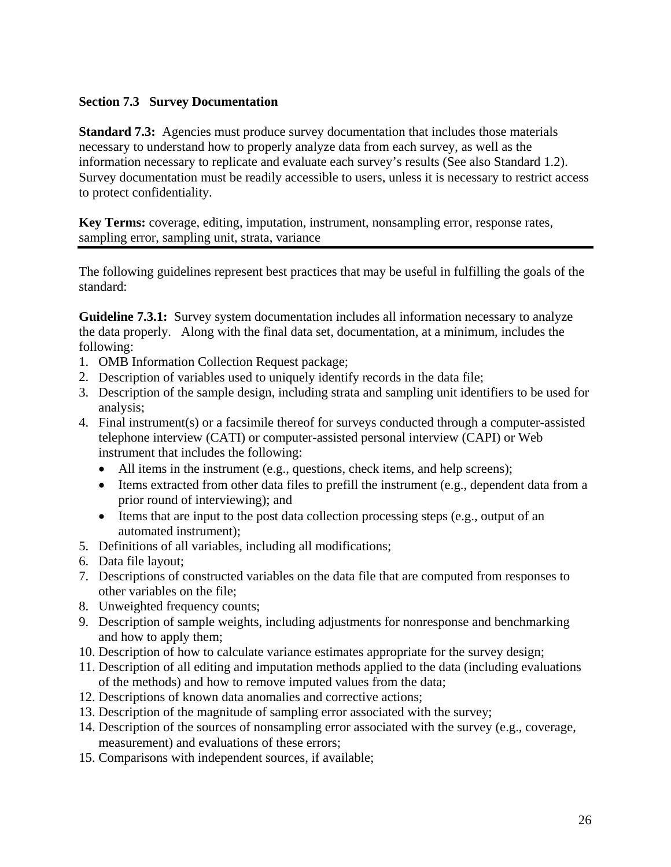# <span id="page-30-0"></span>**Section 7.3 Survey Documentation**

**Standard 7.3:** Agencies must produce survey documentation that includes those materials necessary to understand how to properly analyze data from each survey, as well as the information necessary to replicate and evaluate each survey's results (See also Standard 1.2). Survey documentation must be readily accessible to users, unless it is necessary to restrict access to protect confidentiality.

**Key Terms:** coverage, editing, imputation, instrument, nonsampling error, response rates, sampling error, sampling unit, strata, variance

The following guidelines represent best practices that may be useful in fulfilling the goals of the standard:

**Guideline 7.3.1:** Survey system documentation includes all information necessary to analyze the data properly. Along with the final data set, documentation, at a minimum, includes the following:

- 1. OMB Information Collection Request package;
- 2. Description of variables used to uniquely identify records in the data file;
- 3. Description of the sample design, including strata and sampling unit identifiers to be used for analysis;
- 4. Final instrument(s) or a facsimile thereof for surveys conducted through a computer-assisted telephone interview (CATI) or computer-assisted personal interview (CAPI) or Web instrument that includes the following:
	- All items in the instrument (e.g., questions, check items, and help screens);
	- Items extracted from other data files to prefill the instrument (e.g., dependent data from a prior round of interviewing); and
	- Items that are input to the post data collection processing steps (e.g., output of an automated instrument);
- 5. Definitions of all variables, including all modifications;
- 6. Data file layout;
- 7. Descriptions of constructed variables on the data file that are computed from responses to other variables on the file;
- 8. Unweighted frequency counts;
- 9. Description of sample weights, including adjustments for nonresponse and benchmarking and how to apply them;
- 10. Description of how to calculate variance estimates appropriate for the survey design;
- 11. Description of all editing and imputation methods applied to the data (including evaluations of the methods) and how to remove imputed values from the data;
- 12. Descriptions of known data anomalies and corrective actions;
- 13. Description of the magnitude of sampling error associated with the survey;
- 14. Description of the sources of nonsampling error associated with the survey (e.g., coverage, measurement) and evaluations of these errors;
- 15. Comparisons with independent sources, if available;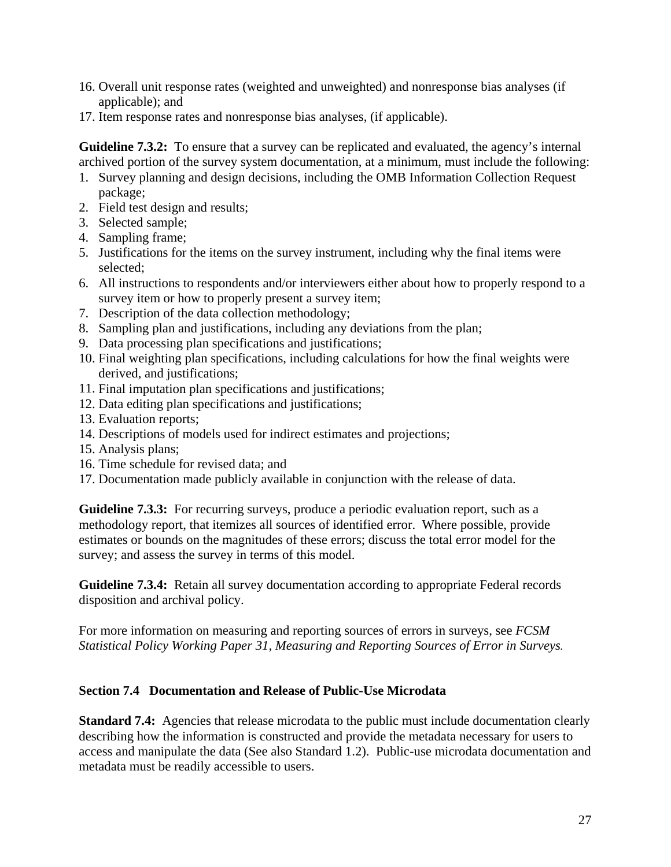- <span id="page-31-0"></span>16. Overall unit response rates (weighted and unweighted) and nonresponse bias analyses (if applicable); and
- 17. Item response rates and nonresponse bias analyses, (if applicable).

**Guideline 7.3.2:** To ensure that a survey can be replicated and evaluated, the agency's internal archived portion of the survey system documentation, at a minimum, must include the following:

- 1. Survey planning and design decisions, including the OMB Information Collection Request package;
- 2. Field test design and results;
- 3. Selected sample;
- 4. Sampling frame;
- 5. Justifications for the items on the survey instrument, including why the final items were selected;
- 6. All instructions to respondents and/or interviewers either about how to properly respond to a survey item or how to properly present a survey item;
- 7. Description of the data collection methodology;
- 8. Sampling plan and justifications, including any deviations from the plan;
- 9. Data processing plan specifications and justifications;
- 10. Final weighting plan specifications, including calculations for how the final weights were derived, and justifications;
- 11. Final imputation plan specifications and justifications;
- 12. Data editing plan specifications and justifications;
- 13. Evaluation reports;
- 14. Descriptions of models used for indirect estimates and projections;
- 15. Analysis plans;
- 16. Time schedule for revised data; and
- 17. Documentation made publicly available in conjunction with the release of data.

**Guideline 7.3.3:** For recurring surveys, produce a periodic evaluation report, such as a methodology report, that itemizes all sources of identified error. Where possible, provide estimates or bounds on the magnitudes of these errors; discuss the total error model for the survey; and assess the survey in terms of this model.

**Guideline 7.3.4:** Retain all survey documentation according to appropriate Federal records disposition and archival policy.

For more information on measuring and reporting sources of errors in surveys, see *[FCSM](http://www.fcsm.gov/01papers/SPWP31_final.pdf)  [Statistical Policy Working Paper 31](http://www.fcsm.gov/01papers/SPWP31_final.pdf), [Measuring and Reporting Sources of Error in Surveys](http://www.fcsm.gov/01papers/SPWP31_final.pdf).*

#### **Section 7.4 Documentation and Release of Public-Use Microdata**

**Standard 7.4:** Agencies that release microdata to the public must include documentation clearly describing how the information is constructed and provide the metadata necessary for users to access and manipulate the data (See also Standard 1.2). Public-use microdata documentation and metadata must be readily accessible to users.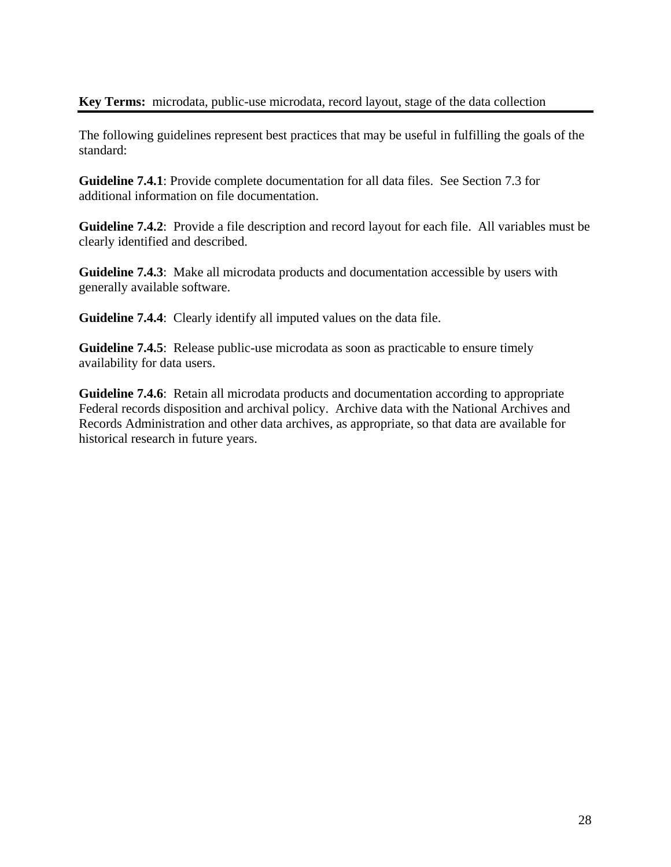## **Key Terms:** microdata, public-use microdata, record layout, stage of the data collection

The following guidelines represent best practices that may be useful in fulfilling the goals of the standard:

**Guideline 7.4.1**: Provide complete documentation for all data files. See Section 7.3 for additional information on file documentation.

**Guideline 7.4.2**: Provide a file description and record layout for each file. All variables must be clearly identified and described.

**Guideline 7.4.3**: Make all microdata products and documentation accessible by users with generally available software.

**Guideline 7.4.4**: Clearly identify all imputed values on the data file.

**Guideline 7.4.5:** Release public-use microdata as soon as practicable to ensure timely availability for data users.

**Guideline 7.4.6**: Retain all microdata products and documentation according to appropriate Federal records disposition and archival policy. Archive data with the National Archives and Records Administration and other data archives, as appropriate, so that data are available for historical research in future years.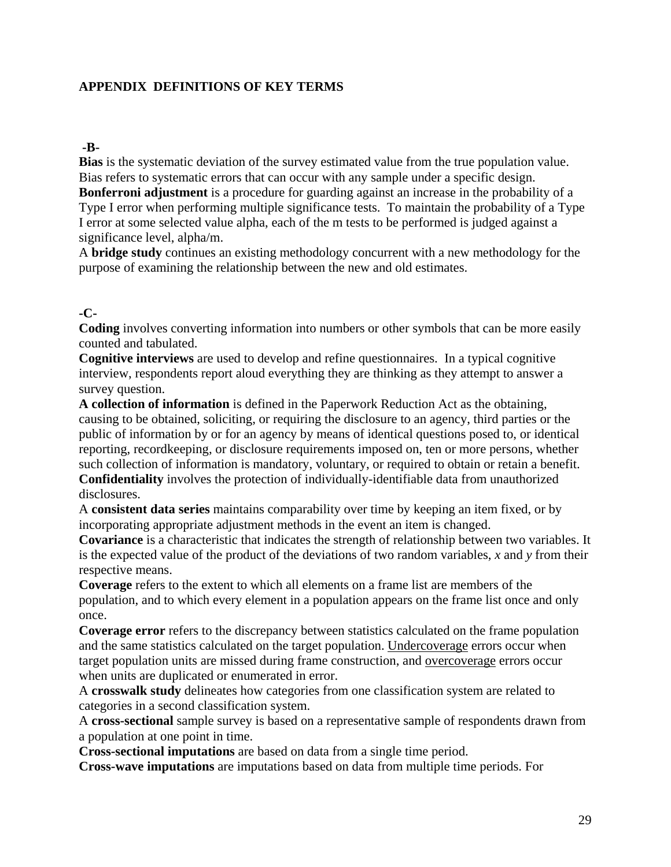# <span id="page-33-0"></span>**APPENDIX DEFINITIONS OF KEY TERMS**

#### **-B-**

**Bias** is the systematic deviation of the survey estimated value from the true population value. Bias refers to systematic errors that can occur with any sample under a specific design. **Bonferroni adjustment** is a procedure for guarding against an increase in the probability of a

Type I error when performing multiple significance tests. To maintain the probability of a Type I error at some selected value alpha, each of the m tests to be performed is judged against a significance level, alpha/m.

A **bridge study** continues an existing methodology concurrent with a new methodology for the purpose of examining the relationship between the new and old estimates.

#### **-C-**

**Coding** involves converting information into numbers or other symbols that can be more easily counted and tabulated.

**Cognitive interviews** are used to develop and refine questionnaires. In a typical cognitive interview, respondents report aloud everything they are thinking as they attempt to answer a survey question.

**A collection of information** is defined in the Paperwork Reduction Act as the obtaining, causing to be obtained, soliciting, or requiring the disclosure to an agency, third parties or the public of information by or for an agency by means of identical questions posed to, or identical reporting, recordkeeping, or disclosure requirements imposed on, ten or more persons, whether such collection of information is mandatory, voluntary, or required to obtain or retain a benefit. **Confidentiality** involves the protection of individually-identifiable data from unauthorized disclosures.

A **consistent data series** maintains comparability over time by keeping an item fixed, or by incorporating appropriate adjustment methods in the event an item is changed.

**Covariance** is a characteristic that indicates the strength of relationship between two variables. It is the expected value of the product of the deviations of two random variables, *x* and *y* from their respective means.

**Coverage** refers to the extent to which all elements on a frame list are members of the population, and to which every element in a population appears on the frame list once and only once.

**Coverage error** refers to the discrepancy between statistics calculated on the frame population and the same statistics calculated on the target population. [Undercoverage](http://nces.ed.gov/statprog/2002/#undercoverage) errors occur when target population units are missed during frame construction, and [overcoverage](http://nces.ed.gov/statprog/2002/#overcoverage) errors occur when units are duplicated or enumerated in error.

A **crosswalk study** delineates how categories from one classification system are related to categories in a second classification system.

A **cross-sectional** sample survey is based on a representative sample of respondents drawn from a population at one point in time.

**Cross-sectional imputations** are based on data from a single time period.

**Cross-wave imputations** are imputations based on data from multiple time periods. For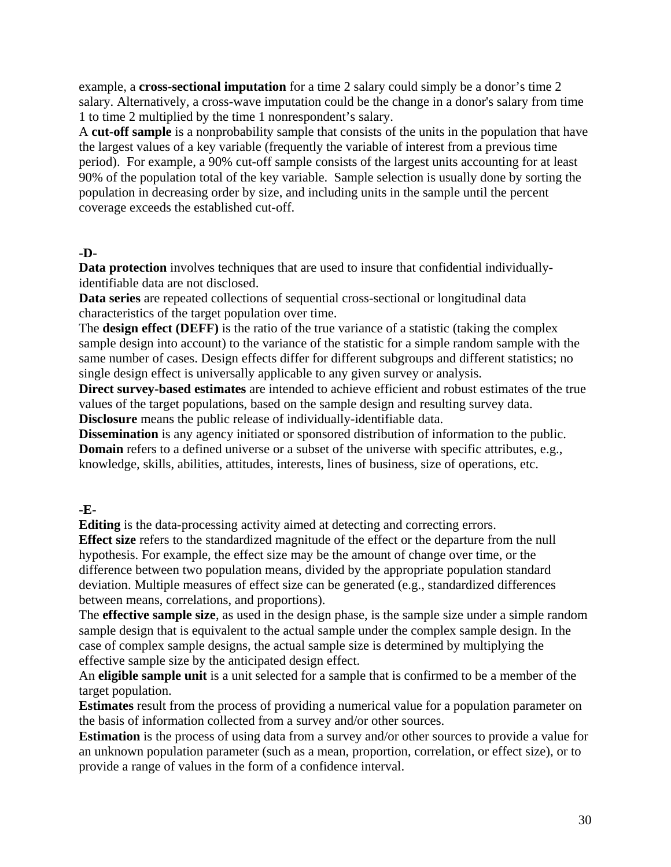example, a **cross-sectional imputation** for a time 2 salary could simply be a donor's time 2 salary. Alternatively, a cross-wave imputation could be the change in a donor's salary from time 1 to time 2 multiplied by the time 1 nonrespondent's salary.

A **cut-off sample** is a nonprobability sample that consists of the units in the population that have the largest values of a key variable (frequently the variable of interest from a previous time period). For example, a 90% cut-off sample consists of the largest units accounting for at least 90% of the population total of the key variable. Sample selection is usually done by sorting the population in decreasing order by size, and including units in the sample until the percent coverage exceeds the established cut-off.

# **-D-**

**Data protection** involves techniques that are used to insure that confidential individuallyidentifiable data are not disclosed.

**Data series** are repeated collections of sequential cross-sectional or longitudinal data characteristics of the target population over time.

The **design effect (DEFF)** is the ratio of the true variance of a statistic (taking the complex sample design into account) to the variance of the statistic for a simple random sample with the same number of cases. Design effects differ for different subgroups and different statistics; no single design effect is universally applicable to any given survey or analysis.

**Direct survey-based estimates** are intended to achieve efficient and robust estimates of the true values of the target populations, based on the sample design and resulting survey data. **Disclosure** means the public release of individually-identifiable data.

**Dissemination** is any agency initiated or sponsored distribution of information to the public. **Domain** refers to a defined universe or a subset of the universe with specific attributes, e.g., knowledge, skills, abilities, attitudes, interests, lines of business, size of operations, etc.

**-E-**

**Editing** is the data-processing activity aimed at detecting and correcting errors.

**Effect size** refers to the standardized magnitude of the effect or the departure from the null hypothesis. For example, the effect size may be the amount of change over time, or the difference between two population means, divided by the appropriate population standard deviation. Multiple measures of effect size can be generated (e.g., standardized differences between means, correlations, and proportions).

The **effective sample size**, as used in the design phase, is the sample size under a simple random sample design that is equivalent to the actual sample under the complex sample design. In the case of complex sample designs, the actual sample size is determined by multiplying the effective sample size by the anticipated design effect.

An **eligible sample unit** is a unit selected for a sample that is confirmed to be a member of the target population.

**Estimates** result from the process of providing a numerical value for a population parameter on the basis of information collected from a survey and/or other sources.

**Estimation** is the process of using data from a survey and/or other sources to provide a value for an unknown population parameter (such as a mean, proportion, correlation, or effect size), or to provide a range of values in the form of a confidence interval.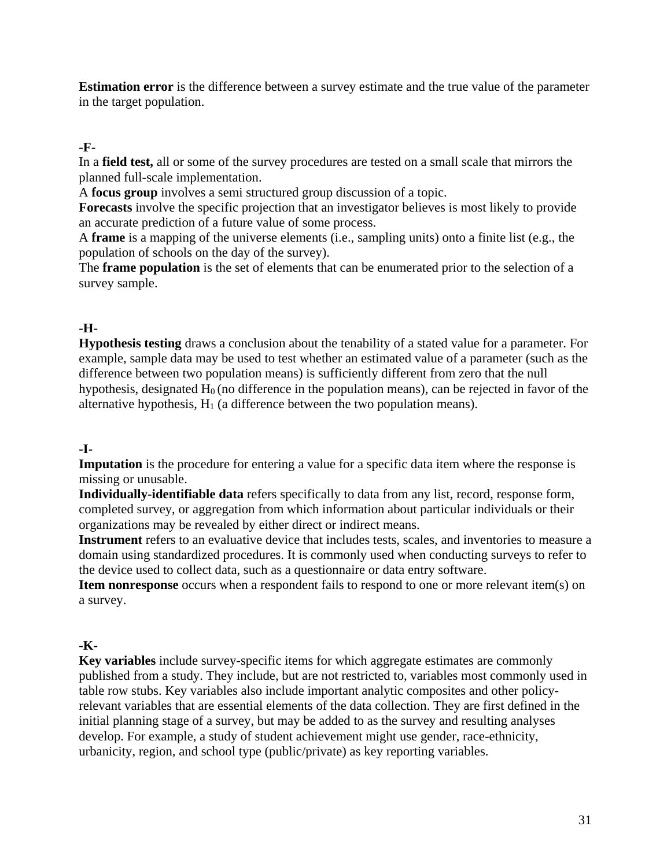**Estimation error** is the difference between a survey estimate and the true value of the parameter in the target population.

# **-F-**

In a **field test,** all or some of the survey procedures are tested on a small scale that mirrors the planned full-scale implementation.

A **focus group** involves a semi structured group discussion of a topic.

**Forecasts** involve the specific projection that an investigator believes is most likely to provide an accurate prediction of a future value of some process.

A **frame** is a mapping of the universe elements (i.e., sampling units) onto a finite list (e.g., the population of schools on the day of the survey).

The **frame population** is the set of elements that can be enumerated prior to the selection of a survey sample.

# **-H-**

**Hypothesis testing** draws a conclusion about the tenability of a stated value for a parameter. For example, sample data may be used to test whether an estimated value of a parameter (such as the difference between two population means) is sufficiently different from zero that the null hypothesis, designated  $H_0$  (no difference in the population means), can be rejected in favor of the alternative hypothesis,  $H_1$  (a difference between the two population means).

# **-I-**

**Imputation** is the procedure for entering a value for a specific data item where the response is missing or unusable.

**Individually-identifiable data** refers specifically to data from any list, record, response form, completed survey, or aggregation from which information about particular individuals or their organizations may be revealed by either direct or indirect means.

**Instrument** refers to an evaluative device that includes tests, scales, and inventories to measure a domain using standardized procedures. It is commonly used when conducting surveys to refer to the device used to collect data, such as a questionnaire or data entry software.

**Item nonresponse** occurs when a respondent fails to respond to one or more relevant item(s) on a survey.

# **-K-**

**Key variables** include survey-specific items for which aggregate estimates are commonly published from a study. They include, but are not restricted to, variables most commonly used in table row stubs. Key variables also include important analytic composites and other policyrelevant variables that are essential elements of the data collection. They are first defined in the initial planning stage of a survey, but may be added to as the survey and resulting analyses develop. For example, a study of student achievement might use gender, race-ethnicity, urbanicity, region, and school type (public/private) as key reporting variables.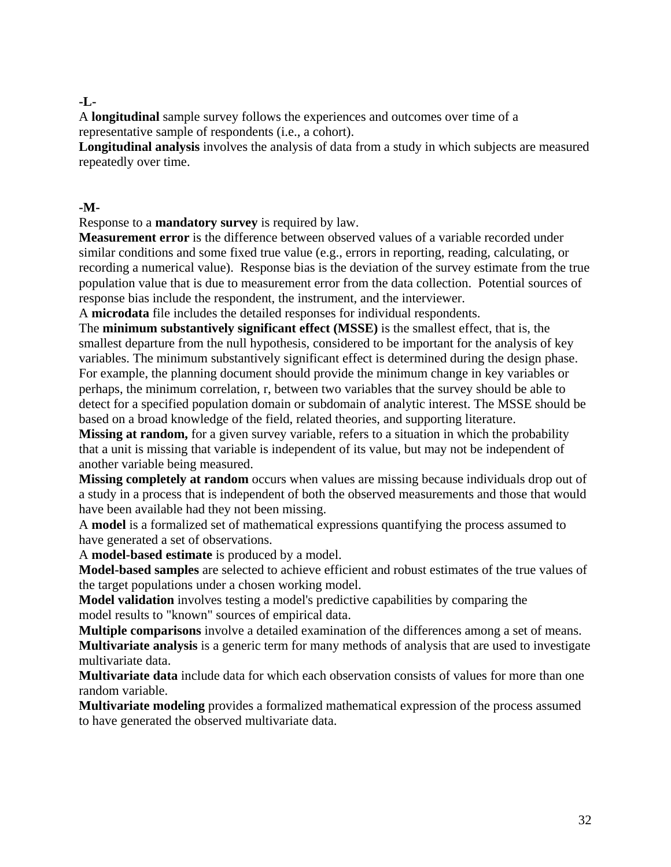# **-L-**

A **longitudinal** sample survey follows the experiences and outcomes over time of a representative sample of respondents (i.e., a cohort).

**Longitudinal analysis** involves the analysis of data from a study in which subjects are measured repeatedly over time.

#### **-M-**

Response to a **mandatory survey** is required by law.

**Measurement error** is the difference between observed values of a variable recorded under similar conditions and some fixed true value (e.g., errors in reporting, reading, calculating, or recording a numerical value). Response bias is the deviation of the survey estimate from the true population value that is due to measurement error from the data collection. Potential sources of response bias include the respondent, the instrument, and the interviewer.

A **microdata** file includes the detailed responses for individual respondents.

The **minimum substantively significant effect (MSSE)** is the smallest effect, that is, the smallest departure from the null hypothesis, considered to be important for the analysis of key variables. The minimum substantively significant effect is determined during the design phase. For example, the planning document should provide the minimum change in key variables or perhaps, the minimum correlation, r, between two variables that the survey should be able to detect for a specified population domain or subdomain of analytic interest. The MSSE should be based on a broad knowledge of the field, related theories, and supporting literature.

**Missing at random,** for a given survey variable, refers to a situation in which the probability that a unit is missing that variable is independent of its value, but may not be independent of another variable being measured.

**Missing completely at random** occurs when values are missing because individuals drop out of a study in a process that is independent of both the observed measurements and those that would have been available had they not been missing.

A **model** is a formalized set of mathematical expressions quantifying the process assumed to have generated a set of observations.

A **model-based estimate** is produced by a model.

**Model-based samples** are selected to achieve efficient and robust estimates of the true values of the target populations under a chosen working model.

**Model validation** involves testing a model's predictive capabilities by comparing the model results to "known" sources of empirical data.

**Multiple comparisons** involve a detailed examination of the differences among a set of means. **Multivariate analysis** is a generic term for many methods of analysis that are used to investigate multivariate data.

**Multivariate data** include data for which each observation consists of values for more than one random variable.

**Multivariate modeling** provides a formalized mathematical expression of the process assumed to have generated the observed multivariate data.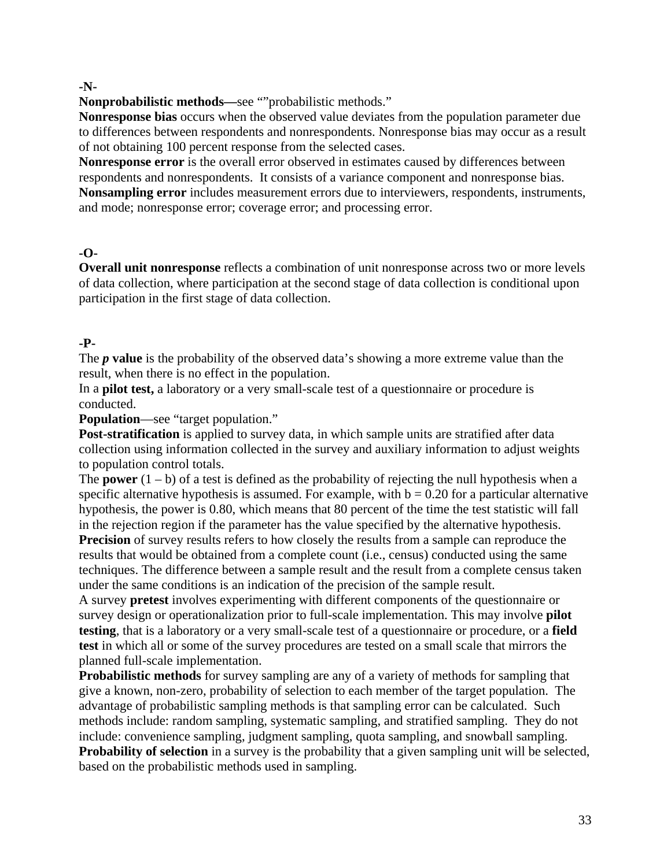#### **-N-**

**Nonprobabilistic methods—**see ""probabilistic methods."

**Nonresponse bias** occurs when the observed value deviates from the population parameter due to differences between respondents and nonrespondents. Nonresponse bias may occur as a result of not obtaining 100 percent response from the selected cases.

**Nonresponse error** is the overall error observed in estimates caused by differences between respondents and nonrespondents. It consists of a variance component and nonresponse bias. **Nonsampling error** includes measurement errors due to interviewers, respondents, instruments, and mode; nonresponse error; coverage error; and processing error.

# **-O-**

**Overall unit nonresponse** reflects a combination of unit nonresponse across two or more levels of data collection, where participation at the second stage of data collection is conditional upon participation in the first stage of data collection.

# **-P-**

The *p* **value** is the probability of the observed data's showing a more extreme value than the result, when there is no effect in the population.

In a **pilot test,** a laboratory or a very small-scale test of a questionnaire or procedure is conducted.

**Population**—see "target population."

**Post-stratification** is applied to survey data, in which sample units are stratified after data collection using information collected in the survey and auxiliary information to adjust weights to population control totals.

The **power**  $(1 - b)$  of a test is defined as the probability of rejecting the null hypothesis when a specific alternative hypothesis is assumed. For example, with  $b = 0.20$  for a particular alternative hypothesis, the power is 0.80, which means that 80 percent of the time the test statistic will fall in the rejection region if the parameter has the value specified by the alternative hypothesis.

**Precision** of survey results refers to how closely the results from a sample can reproduce the results that would be obtained from a complete count (i.e., census) conducted using the same techniques. The difference between a sample result and the result from a complete census taken under the same conditions is an indication of the precision of the sample result.

A survey **pretest** involves experimenting with different components of the questionnaire or survey design or operationalization prior to full-scale implementation. This may involve **pilot testing**, that is a laboratory or a very small-scale test of a questionnaire or procedure, or a **[field](http://nces.ed.gov/statprog/2002/#field) test** in which all or some of the survey procedures are tested on a small scale that mirrors the planned full-scale implementation.

**Probabilistic methods** for survey sampling are any of a variety of methods for sampling that give a known, non-zero, probability of selection to each member of the target population. The advantage of probabilistic sampling methods is that sampling error can be calculated. Such methods include: random sampling, systematic sampling, and stratified sampling. They do not include: convenience sampling, judgment sampling, quota sampling, and snowball sampling. **Probability of selection** in a survey is the probability that a given sampling unit will be selected, based on the probabilistic methods used in sampling.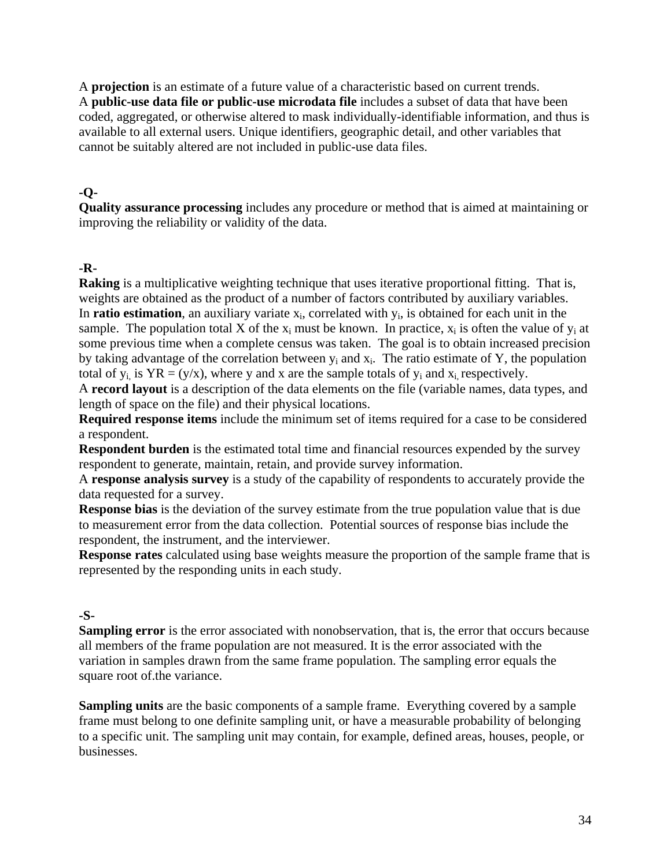A **projection** is an estimate of a future value of a characteristic based on current trends. A **public-use data file or public-use microdata file** includes a subset of data that have been coded, aggregated, or otherwise altered to mask individually-identifiable information, and thus is available to all external users. Unique identifiers, geographic detail, and other variables that cannot be suitably altered are not included in public-use data files.

#### **-Q-**

**Quality assurance processing** includes any procedure or method that is aimed at maintaining or improving the reliability or validity of the data.

#### **-R-**

**Raking** is a multiplicative weighting technique that uses iterative proportional fitting. That is, weights are obtained as the product of a number of factors contributed by auxiliary variables. In **ratio estimation**, an auxiliary variate  $x_i$ , correlated with  $y_i$ , is obtained for each unit in the sample. The population total X of the  $x_i$  must be known. In practice,  $x_i$  is often the value of  $y_i$  at some previous time when a complete census was taken. The goal is to obtain increased precision by taking advantage of the correlation between  $y_i$  and  $x_i$ . The ratio estimate of Y, the population total of  $y_i$  is  $YR = (y/x)$ , where y and x are the sample totals of  $y_i$  and  $x_i$  respectively.

A **record layout** is a description of the data elements on the file (variable names, data types, and length of space on the file) and their physical locations.

**Required response items** include the minimum set of items required for a case to be considered a respondent.

**Respondent burden** is the estimated total time and financial resources expended by the survey respondent to generate, maintain, retain, and provide survey information.

A **response analysis survey** is a study of the capability of respondents to accurately provide the data requested for a survey.

**Response bias** is the deviation of the survey estimate from the true population value that is due to measurement error from the data collection. Potential sources of response bias include the respondent, the instrument, and the interviewer.

**Response rates** calculated using base weights measure the proportion of the sample frame that is represented by the responding units in each study.

#### **-S-**

**Sampling error** is the error associated with nonobservation, that is, the error that occurs because all members of the frame population are not measured. It is the error associated with the variation in samples drawn from the same frame population. The sampling error equals the square root of.the variance.

**Sampling units** are the basic components of a sample frame. Everything covered by a sample frame must belong to one definite sampling unit, or have a measurable probability of belonging to a specific unit. The sampling unit may contain, for example, defined areas, houses, people, or businesses.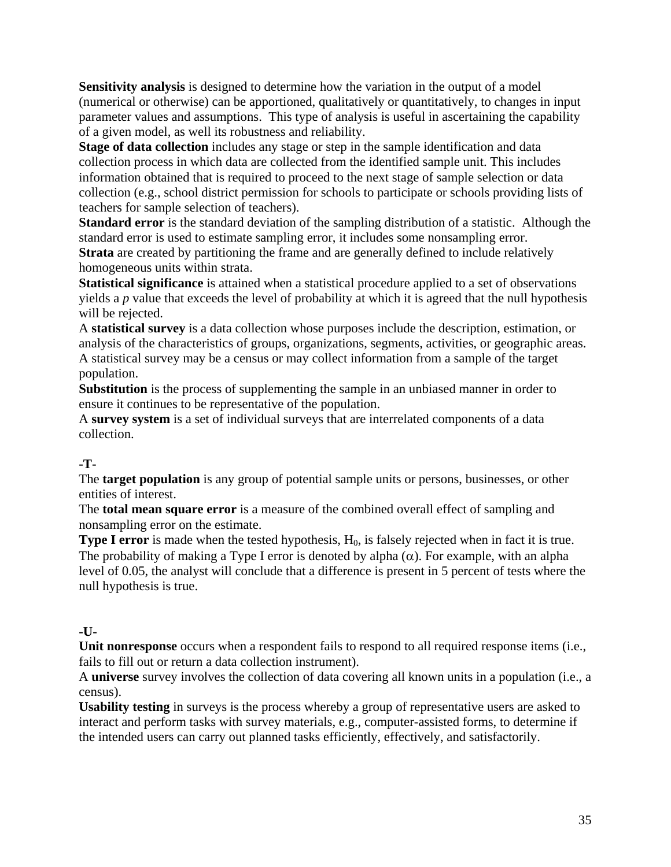**Sensitivity analysis** is designed to determine how the variation in the output of a model (numerical or otherwise) can be apportioned, qualitatively or quantitatively, to changes in input parameter values and assumptions. This type of analysis is useful in ascertaining the capability of a given model, as well its robustness and reliability.

**Stage of data collection** includes any stage or step in the sample identification and data collection process in which data are collected from the identified sample unit. This includes information obtained that is required to proceed to the next stage of sample selection or data collection (e.g., school district permission for schools to participate or schools providing lists of teachers for sample selection of teachers).

**Standard error** is the standard deviation of the sampling distribution of a statistic. Although the standard error is used to estimate sampling error, it includes some nonsampling error. **Strata** are created by partitioning the frame and are generally defined to include relatively homogeneous units within strata.

**Statistical significance** is attained when a statistical procedure applied to a set of observations yields a *p* value that exceeds the level of probability at which it is agreed that the null hypothesis will be rejected.

A **statistical survey** is a data collection whose purposes include the description, estimation, or analysis of the characteristics of groups, organizations, segments, activities, or geographic areas. A statistical survey may be a census or may collect information from a sample of the target population.

**Substitution** is the process of supplementing the sample in an unbiased manner in order to ensure it continues to be representative of the population.

A **survey system** is a set of individual surveys that are interrelated components of a data collection.

# **-T-**

The **target population** is any group of potential sample units or persons, businesses, or other entities of interest.

The **total mean square error** is a measure of the combined overall effect of sampling and nonsampling error on the estimate.

**Type I error** is made when the tested hypothesis, H<sub>0</sub>, is falsely rejected when in fact it is true. The probability of making a Type I error is denoted by alpha  $(\alpha)$ . For example, with an alpha level of 0.05, the analyst will conclude that a difference is present in 5 percent of tests where the null hypothesis is true.

# **-U-**

**Unit nonresponse** occurs when a respondent fails to respond to all required response items (i.e., fails to fill out or return a data collection instrument).

A **universe** survey involves the collection of data covering all known units in a population (i.e., a census).

**Usability testing** in surveys is the process whereby a group of representative users are asked to interact and perform tasks with survey materials, e.g., computer-assisted forms, to determine if the intended users can carry out planned tasks efficiently, effectively, and satisfactorily.